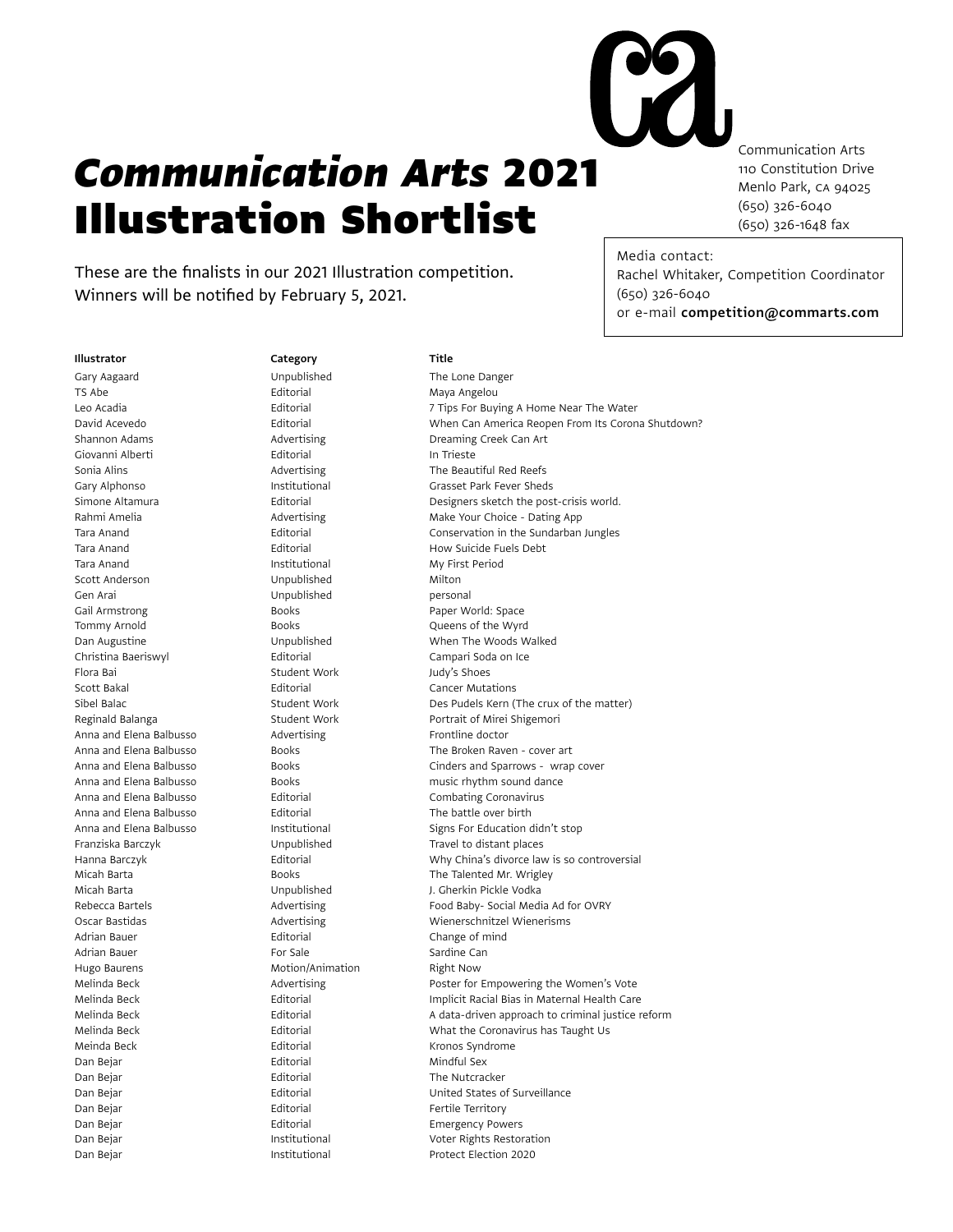## *Communication Arts* 2021 Illustration Shortlist

These are the finalists in our 2021 Illustration competition. Winners will be notified by February 5, 2021.

Communication Arts 110 Constitution Drive Menlo Park, CA 94025 (650) 326-6040 (650) 326-1648 fax

Media contact: Rachel Whitaker, Competition Coordinator (650) 326-6040 or e-mail competition@commarts.com

## Illustrator Category Category Title

TS Abe **Editorial** Editorial Maya Angelou Giovanni Alberti **Editorial** Editorial In Trieste Tara Anand **Institutional** Institutional My First Period Scott Anderson **Milton** Unpublished Milton Gen Arai **Communist Communist Communist Communist Communist Communist Communist Communist Communist Communist Communist Communist Communist Communist Communist Communist Communist Communist Communist Communist Communist Co** Gail Armstrong The Books Books Paper World: Space Tommy Arnold **Books** Books **Communicates** Books **Communicates Queens of the Wyrd** Christina Baeriswyl **Editorial** Editorial Campari Soda on Ice Flora Bai **Student Work** Judy's Shoes Scott Bakal Editorial Cancer Mutations Anna and Elena Balbusso **Advertising Advertising** Frontline doctor Anna and Elena Balbusso **Editorial** Editorial The battle over birth Adrian Bauer **Editorial** Editorial Change of mind Adrian Bauer **For Sale** For Sale Sardine Can Hugo Baurens **Motion/Animation** Right Now Meinda Beck **Editorial** Editorial Kronos Syndrome Dan Bejar **Editorial** Editorial Mindful Sex Dan Bejar **Editorial** Editorial The Nutcracker Dan Bejar **Editorial Editorial** Fertile Territory Dan Bejar **Editorial** Editorial Emergency Powers Dan Bejar Institutional Protect Election 2020

Gary Aagaard **Cary Aagaard** Unpublished The Lone Danger

Leo Acadia **Editorial** Editorial **Editorial** 7 Tips For Buying A Home Near The Water David Acevedo Editorial When Can America Reopen From Its Corona Shutdown? Shannon Adams **Advertising Advertising Creaming Creek Can Art** Sonia Alins **Advertising** The Beautiful Red Reefs Gary Alphonso Institutional Grasset Park Fever Sheds Simone Altamura Editorial Designers sketch the post-crisis world. Rahmi Amelia **Advertising Make Your Choice - Dating App** Advertising Make Your Choice - Dating App Tara Anand **Editorial** Editorial Conservation in the Sundarban Jungles Tara Anand **Editorial** Editorial How Suicide Fuels Debt Dan Augustine Unpublished When The Woods Walked Sibel Balac Student Work Des Pudels Kern (The crux of the matter) Reginald Balanga **Student Work** Portrait of Mirei Shigemori Anna and Elena Balbusso **Books** Books The Broken Raven - cover art Anna and Elena Balbusso Books Cinders and Sparrows - wrap cover Anna and Elena Balbusso Books music rhythm sound dance Anna and Elena Balbusso Editorial Combating Coronavirus Anna and Elena Balbusso **Institutional** Signs For Education didn't stop Franziska Barczyk **Eranziska Barczyk** Unpublished Travel to distant places Hanna Barczyk Editorial Why China's divorce law is so controversial Micah Barta **Books** Books The Talented Mr. Wrigley Micah Barta Unpublished J. Gherkin Pickle Vodka Rebecca Bartels **Advertising Advertising** Food Baby- Social Media Ad for OVRY Oscar Bastidas Advertising Wienerschnitzel Wienerisms Melinda Beck **Advertising** Advertising Poster for Empowering the Women's Vote Melinda Beck Editorial Implicit Racial Bias in Maternal Health Care Melinda Beck **Editorial** Editorial A data-driven approach to criminal justice reform Melinda Beck **Editorial** Editorial What the Coronavirus has Taught Us Dan Bejar Editorial United States of Surveillance Dan Bejar **Institutional** Institutional Voter Rights Restoration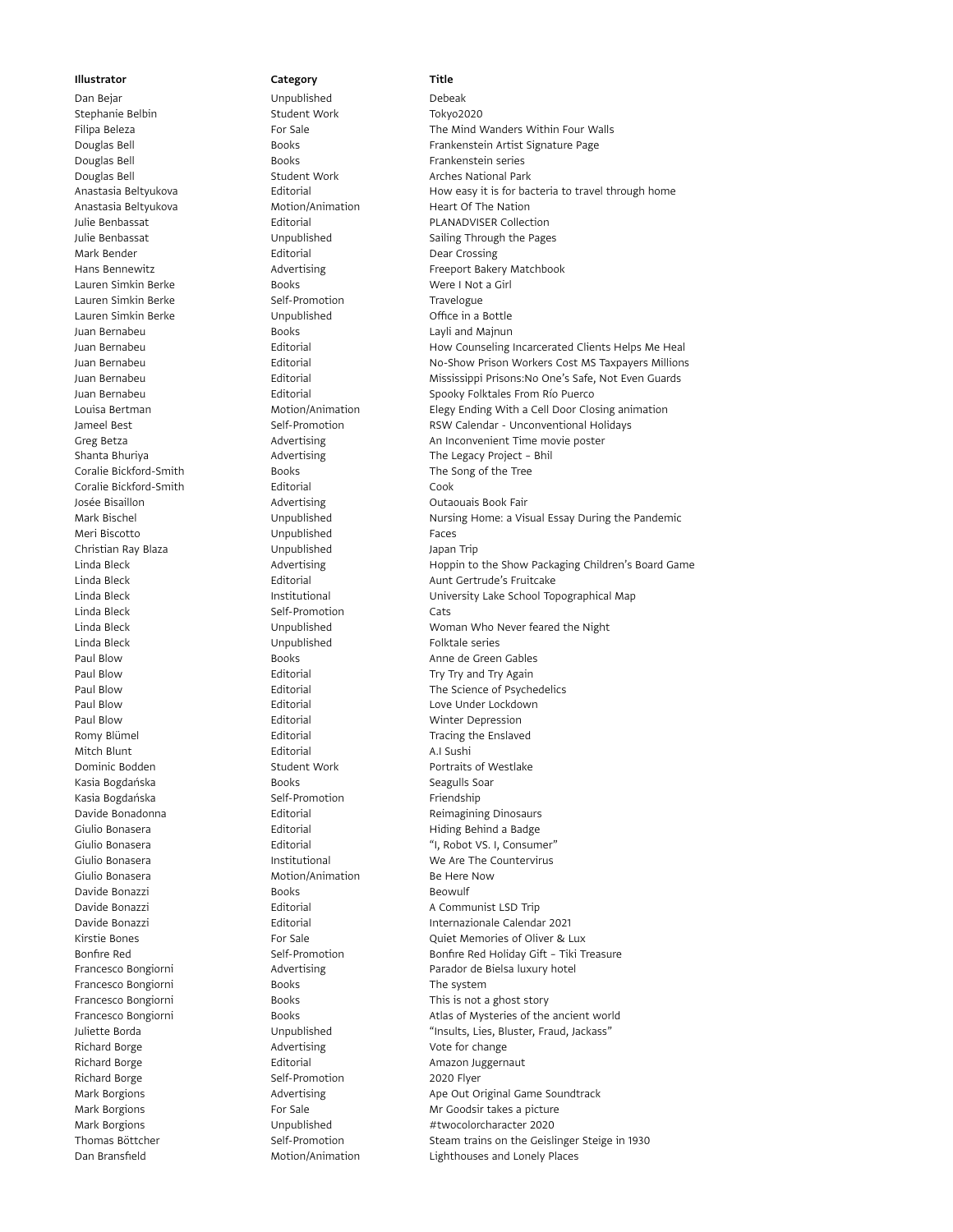## Dan Bejar **Dan Bejar Unpublished** Debeak Stephanie Belbin Student Work Tokyo2020 Douglas Bell **Books Books** Frankenstein series Douglas Bell Student Work Arches National Park Anastasia Beltyukova Motion/Animation Heart Of The Nation Mark Bender **Editorial** Editorial Dear Crossing Lauren Simkin Berke **Books** Books Were I Not a Girl Lauren Simkin Berke Self-Promotion Travelogue Lauren Simkin Berke **Unpublished** Unpublished Office in a Bottle Juan Bernabeu Books Layli and Majnun Coralie Bickford-Smith Books Books The Song of the Tree Coralie Bickford-Smith Editorial Cook Josée Bisaillon **Advertising** Container Containing **Containers** Outaouais Book Fair Meri Biscotto Unpublished Faces Christian Ray Blaza Unpublished Japan Trip Linda Bleck **Self-Promotion** Cats Linda Bleck Unpublished Folktale series Paul Blow **Editorial** Editorial Minter Depression Romy Blümel **Editorial** Editorial Tracing the Enslaved Mitch Blunt **Editorial** Editorial A.I Sushi Dominic Bodden Student Work Portraits of Westlake Kasia Bogdańska **Books** Books **Seagulls Soar** Kasia Bogdańska **Self-Promotion** Self-Promotion Friendship Giulio Bonasera **Motion/Animation** Be Here Now Davide Bonazzi **Books** Books Beowulf Francesco Bongiorni **Books** Books The system Richard Borge **Advertising** Advertising Vote for change Richard Borge **Editorial** Editorial Amazon Juggernaut Richard Borge **Self-Promotion** 2020 Flyer

## Filipa Beleza **For Sale** For Sale The Mind Wanders Within Four Walls Douglas Bell **Books Books** Frankenstein Artist Signature Page Anastasia Beltyukova **Editorial** Editorial How easy it is for bacteria to travel through home Julie Benbassat **Editorial Editorial** PLANADVISER Collection Julie Benbassat **Sailing Through the Pages** Unpublished Sailing Through the Pages Hans Bennewitz **Advertising** Freeport Bakery Matchbook Juan Bernabeu Editorial How Counseling Incarcerated Clients Helps Me Heal Juan Bernabeu Editorial No-Show Prison Workers Cost MS Taxpayers Millions Juan Bernabeu Editorial Mississippi Prisons:No One's Safe, Not Even Guards Juan Bernabeu **International Editorial** Christens Christens Christens From Río Puerco<br>1991 - Louisa Bertman **Motion Motion Animation** Christens Elegy Ending With a Cell Door Clo Louisa Bertman **Motion/Animation** Elegy Ending With a Cell Door Closing animation Jameel Best Self-Promotion RSW Calendar - Unconventional Holidays Greg Betza **Advertising** Advertising An Inconvenient Time movie poster Shanta Bhuriya **Advertising** The Legacy Project – Bhil Mark Bischel Unpublished Nursing Home: a Visual Essay During the Pandemic Linda Bleck **Advertising** Hoppin to the Show Packaging Children's Board Game Linda Bleck **Editorial** Editorial Aunt Gertrude's Fruitcake Linda Bleck **Institutional** Institutional **University Lake School Topographical Map** Linda Bleck Unpublished Woman Who Never feared the Night Paul Blow Books Books Anne de Green Gables Paul Blow **Editorial** Editorial Try Try and Try Again Paul Blow **Editorial** Editorial The Science of Psychedelics Paul Blow **Editorial** Editorial Love Under Lockdown Davide Bonadonna **Editorial** Editorial Reimagining Dinosaurs Giulio Bonasera **Editorial** Editorial Hiding Behind a Badge Giulio Bonasera **Editorial** Editorial Textures et al. Consumer" Giulio Bonasera Institutional We Are The Countervirus Davide Bonazzi Editorial A Communist LSD Trip Davide Bonazzi Editorial Internazionale Calendar 2021 Kirstie Bones **For Sale** For Sale **For Sale** Quiet Memories of Oliver & Lux Bonfire Red Self-Promotion Bonfire Red Holiday Gift – Tiki Treasure Francesco Bongiorni **Advertising** Parador de Bielsa luxury hotel Francesco Bongiorni **Books** Books This is not a ghost story Francesco Bongiorni **Books** Books Atlas of Mysteries of the ancient world Juliette Borda Unpublished "Insults, Lies, Bluster, Fraud, Jackass" Mark Borgions **Advertising** Advertising **Ape Out Original Game Soundtrack** Mark Borgions **For Sale** For Sale Mr Goodsir takes a picture Mark Borgions **Mark Borgions** Unpublished #twocolorcharacter 2020 Thomas Böttcher Self-Promotion Self-Promotion Steam trains on the Geislinger Steige in 1930 Dan Bransfield Motion/Animation Lighthouses and Lonely Places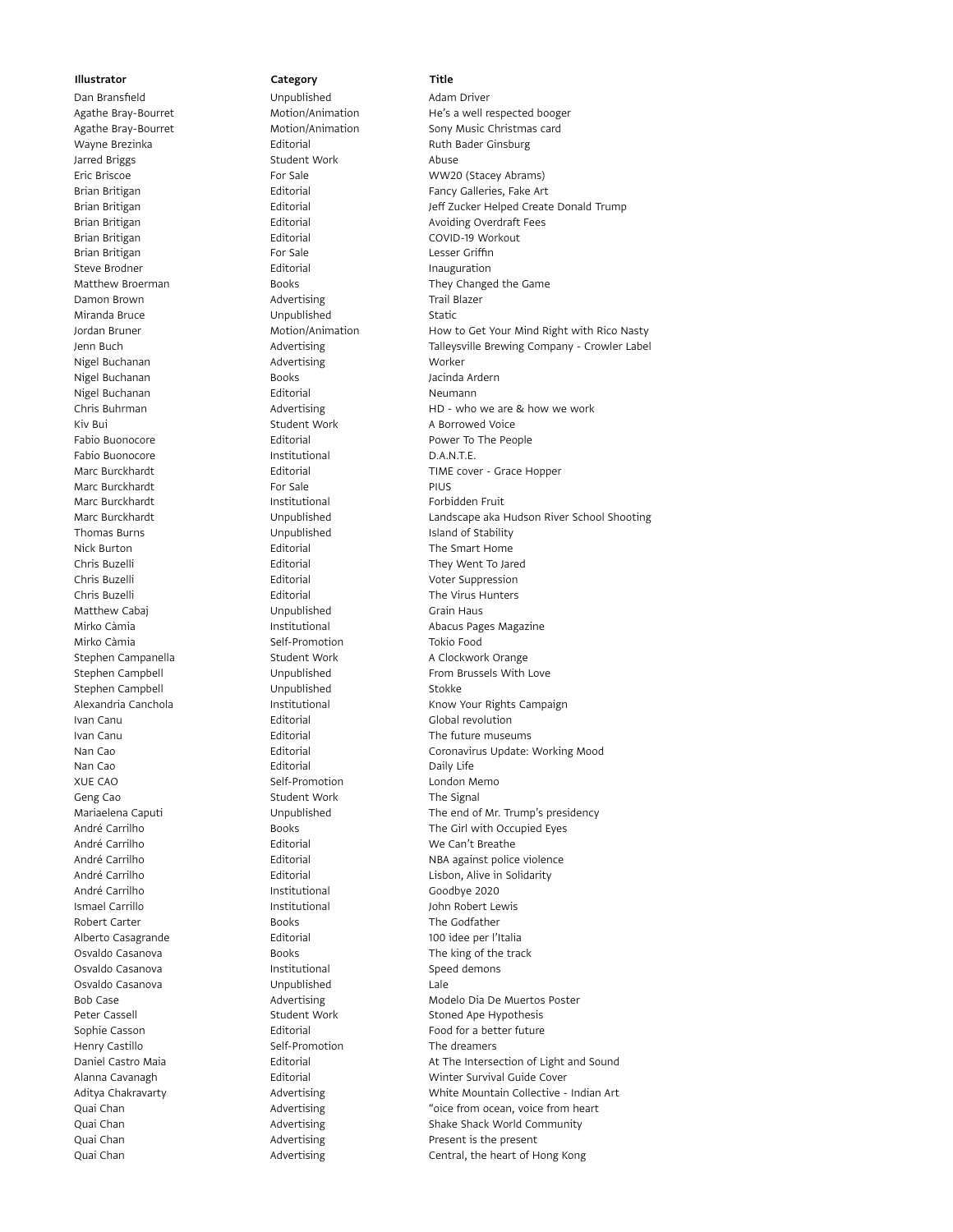Jarred Briggs **Student Work** Abuse Brian Britigan **Editorial** Editorial COVID-19 Workout Brian Britigan **For Sale** For Sale **Lesser Griffin** Steve Brodner **Editorial** Editorial **Inauguration** Damon Brown **Contract Contract Advertising** Trail Blazer Miranda Bruce **Miranda Bruce Communism Communism** Unpublished Static Nigel Buchanan **Advertising** Morker Nigel Buchanan Books Jacinda Ardern Nigel Buchanan **Editorial** Editorial Neumann Kiv Bui **Student Work** A Borrowed Voice **A Borrowed Voice** Fabio Buonocore **Institutional** D.A.N.T.E. Marc Burckhardt For Sale Marc Burckhardt **Institutional** Institutional Forbidden Fruit Thomas Burns **Indianally** Unpublished Island of Stability Nick Burton **Editorial** Editorial The Smart Home Chris Buzelli Editorial Voter Suppression Chris Buzelli **Editorial** Editorial The Virus Hunters Matthew Cabaj **Caballen Communist Communist Unpublished** Grain Haus Mirko Càmia **Mirko Camia** Self-Promotion Tokio Food Stephen Campbell **Stockkers** Unpublished Stokke Ivan Canu **Ivan Canu Contract Contract Contract Contract Contract Contract Contract Contract Contract Contract Contract Contract Contract Contract Contract Contract Contract Contract Contract Contract Contract Contract Con** Nan Cao **Editorial** Editorial Daily Life XUE CAO Self-Promotion London Memo Geng Cao Student Work The Signal André Carrilho **Editorial** Editorial Me Can't Breathe André Carrilho **Institutional** Goodbye 2020 Ismael Carrillo **Institutional** John Robert Lewis Robert Carter **Carter Carter Carter Books** Books The Godfather Alberto Casagrande **Alberto Casagrande** Editorial 100 idee per l'Italia<br>100 idee per l'Italia 10svaldo Casanova 100 idee per l'Italia Osvaldo Casanova **Institutional** Institutional Speed demons Osvaldo Casanova Unpublished Lale Henry Castillo Self-Promotion The dreamers

# Dan Bransfield **Contact Unpublished** Contact Adam Driver

Agathe Bray-Bourret Motion/Animation He's a well respected booger Agathe Bray-Bourret **Motion/Animation** Sony Music Christmas card Wayne Brezinka **Editorial** Editorial Ruth Bader Ginsburg Eric Briscoe For Sale WW20 (Stacey Abrams) Brian Britigan **Editorial** Editorial Fancy Galleries, Fake Art Brian Britigan Editorial Jeff Zucker Helped Create Donald Trump Brian Britigan **Editorial** Editorial Avoiding Overdraft Fees Matthew Broerman **Books** Books **They Changed the Game** Jordan Bruner **Motion/Animation** How to Get Your Mind Right with Rico Nasty How to Get Your Mind Right with Rico Nasty Jenn Buch Advertising Talleysville Brewing Company - Crowler Label Chris Buhrman **Advertising** HD - who we are & how we work Fabio Buonocore **Editorial** Editorial Power To The People Marc Burckhardt Editorial TIME cover - Grace Hopper Marc Burckhardt Unpublished Landscape aka Hudson River School Shooting Chris Buzelli Editorial They Went To Jared Mirko Càmia **Institutional** Institutional Abacus Pages Magazine Stephen Campanella **Student Work** A Clockwork Orange Stephen Campbell Unpublished From Brussels With Love Alexandria Canchola **Institutional** Institutional Know Your Rights Campaign Ivan Canu **Ivan Canu Canu Editorial** Editorial The future museums Nan Cao Editorial Coronavirus Update: Working Mood Mariaelena Caputi Unpublished The end of Mr. Trump's presidency André Carrilho **Books** Books **The Girl with Occupied Eyes** André Carrilho Editorial NBA against police violence André Carrilho Editorial Lisbon, Alive in Solidarity Books The king of the track Bob Case **Advertising** Modelo Dia De Muertos Poster Peter Cassell **Student Work** Stoned Ape Hypothesis Sophie Casson **Editorial** Editorial Food for a better future Daniel Castro Maia **Editorial** At The Intersection of Light and Sound Alanna Cavanagh **Editorial** Editorial Minter Survival Guide Cover Aditya Chakravarty **Advertising** Advertising White Mountain Collective - Indian Art Quai Chan **Advertising Chan** Advertising **Channes Channes Channes Advertising Channes Channes Channes Channes Channes Channes Channes Advertising Channes Channes Channes Channes Channes Channes Channes Channes Channe** Quai Chan **Advertising** Shake Shack World Community Cuai Chan Advertising Quai Chan **Advertising** Present is the present Quai Chan **Chan** Advertising Central, the heart of Hong Kong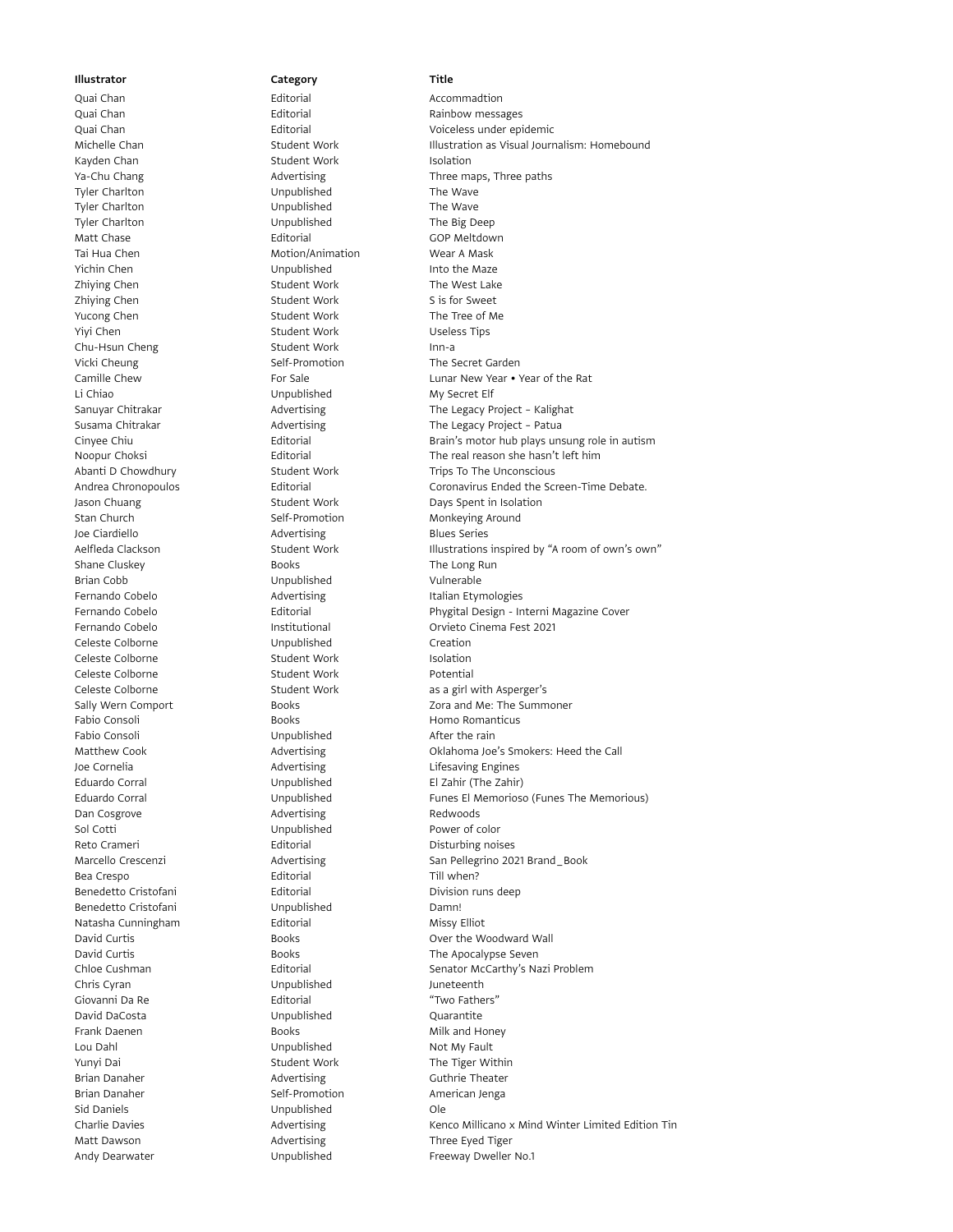Quai Chan **Chan Editorial** Editorial Channess Rainbow messages Kayden Chan **Isolation** Student Work **Isolation** Tyler Charlton **The Wave Charlton** Unpublished The Wave Tyler Charlton **The Wave Charlton** Unpublished The Wave Tyler Charlton Unpublished The Big Deep Matt Chase **Editorial** Editorial GOP Meltdown Tai Hua Chen **Motion/Animation** Wear A Mask Yichin Chen **Into the Maze** Unpublished Into the Maze Zhiying Chen Student Work The West Lake Zhiying Chen Student Work Student Work Sis for Sweet Yucong Chen Student Work The Tree of Me Yiyi Chen Student Work Useless Tips Chu-Hsun Cheng Student Work Inn-a<br>
Vicki Cheung Self-Promotion The S Li Chiao Unpublished My Secret Elf Stan Church Self-Promotion Monkeying Around Joe Ciardiello **Advertising** Blues Series Shane Cluskey **Books** Books The Long Run Brian Cobb Unpublished Vulnerable Fernando Cobelo **Advertising** Italian Etymologies Celeste Colborne Unpublished Creation Celeste Colborne **Student Work** Isolation Celeste Colborne **Student Work** Potential Fabio Consoli **Exercise Exercise Exercise Consoli** Books Homo Romanticus Fabio Consoli **Example 20** Unpublished After the rain Joe Cornelia **Advertising** Cornelia **Advertising** Lifesaving Engines Eduardo Corral Unpublished El Zahir (The Zahir) Dan Cosgrove **Advertising** Redwoods Sol Cotti **Contract Unpublished** Power of color Reto Crameri **Editorial** Editorial Disturbing noises Bea Crespo **Editorial** Editorial Till when? Benedetto Cristofani **Editorial** Editorial Division runs deep Benedetto Cristofani **Campany Compublished** Damn! Natasha Cunningham **Editorial** Editorial Missy Elliot Chris Cyran **Chris Cyran** Unpublished Juneteenth Giovanni Da Re **Editorial** Editorial **Constructs** "Two Fathers" David DaCosta Unpublished Quarantite Frank Daenen Books Milk and Honey Lou Dahl **Unpublished** Not My Fault Yunyi Dai **Student Work** The Tiger Within Brian Danaher **Advertising** Guthrie Theater Brian Danaher Self-Promotion American Jenga Sid Daniels **Contact Contact Contact Contact Contact Contact Contact Contact Contact Contact Contact Contact Contact Contact Contact Contact Contact Contact Contact Contact Contact Contact Contact Contact Contact Contact C** Matt Dawson **Advertising** Matt Dawson **Advertising** Three Eyed Tiger

# Quai Chan **Accommadtion** Editorial **Accommadtion**

Quai Chan Editorial Voiceless under epidemic Michelle Chan **Student Work** Illustration as Visual Journalism: Homebound Illustration as Visual Journalism: Homebound Ya-Chu Chang Three maps, Three paths Advertising Three maps, Three paths Self-Promotion The Secret Garden Camille Chew For Sale Example 20 Lunar New Year • Year of the Rat Advertising The Legacy Project - Kalighat Susama Chitrakar **Advertising** The Legacy Project - Patua Cinyee Chiu **Editorial** Editorial Brain's motor hub plays unsung role in autism Noopur Choksi **Editorial** Editorial The real reason she hasn't left him Abanti D Chowdhury **Student Work** Trips To The Unconscious Andrea Chronopoulos **Editorial** Editorial Coronavirus Ended the Screen-Time Debate. Jason Chuang The Student Work Days Spent in Isolation Aelfleda Clackson Student Work Illustrations inspired by "A room of own"s own" Fernando Cobelo Editorial Phygital Design - Interni Magazine Cover Fernando Cobelo Institutional Orvieto Cinema Fest 2021 Celeste Colborne **Student Work** as a girl with Asperger's Sally Wern Comport **Books** Books **Example 2018** 2014 Me: The Summoner Matthew Cook **Advertising** Cook Advertising Cook **Call** Advertising Cook **Call** Advertising Cook **Call** Advertising Eduardo Corral Unpublished Funes El Memorioso (Funes The Memorious) Marcello Crescenzi **Advertising** San Pellegrino 2021 Brand\_Book David Curtis **David Curtis** Books **Books** Over the Woodward Wall David Curtis Books The Apocalypse Seven Chloe Cushman Editorial Senator McCarthy's Nazi Problem Charlie Davies **Advertising** Kenco Millicano x Mind Winter Limited Edition Tin Andy Dearwater **Figure 10 Controller Unpublished** Freeway Dweller No.1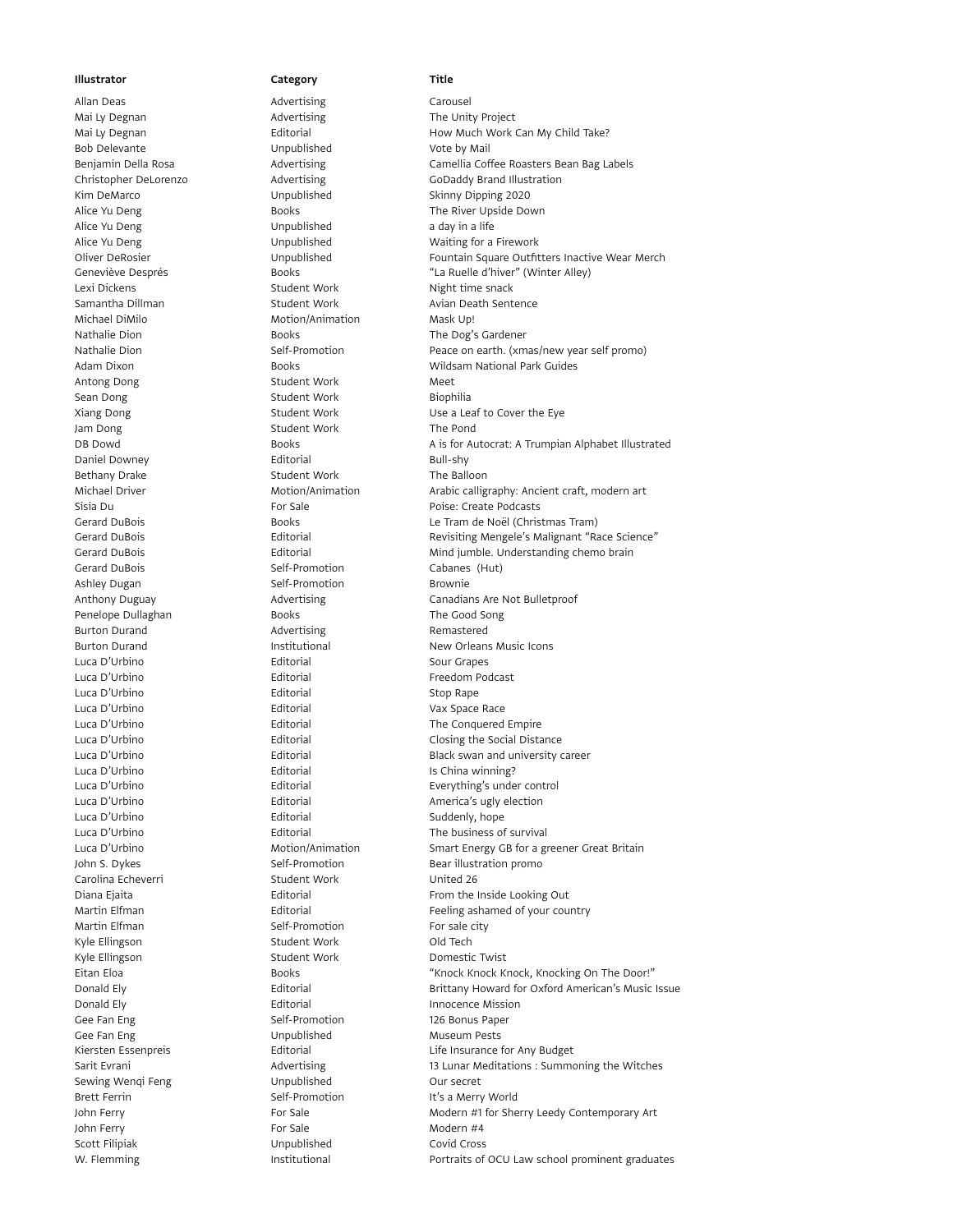Mai Ly Degnan **Advertising** Mai Ly Degnan Advertising The Unity Project Bob Delevante **Note by Mail** Unpublished Vote by Mail Kim DeMarco **Marco Communished** Unpublished Skinny Dipping 2020 Alice Yu Deng a day in a life Lexi Dickens **Student Work** Night time snack Michael DiMilo **Michael Dimilor Motion** Motion/Animation Mask Up! Nathalie Dion **Books** Books The Dog's Gardener Antong Dong Student Work Meet Sean Dong Student Work Biophilia Jam Dong Student Work The Pond Daniel Downey **Editorial** Editorial Bull-shy Bethany Drake Student Work The Balloon Gerard DuBois Self-Promotion Cabanes (Hut) Ashley Dugan Self-Promotion Brownie Penelope Dullaghan **Books** Books The Good Song Burton Durand **Advertising Remastered** Luca D'Urbino **Editorial** Editorial Sour Grapes Luca D'Urbino **Editorial** Editorial Freedom Podcast Luca D'Urbino **Editorial** Editorial Stop Rape Luca D'Urbino **Calledge Editorial** Cuca D'Urbino et al est en el est el est el est el est el est el est el est e Luca D'Urbino Editorial Is China winning? Luca D'Urbino **Editorial** Editorial Suddenly, hope Carolina Echeverri Student Work United 26 Martin Elfman Self-Promotion For sale city Kyle Ellingson Student Work Cold Tech Kyle Ellingson **Student Work** Domestic Twist Donald Ely **Editorial** Editorial **Innocence Mission** Gee Fan Eng Self-Promotion 126 Bonus Paper Gee Fan Eng Contract Contract Contract Unpublished Museum Pests Sewing Wenqi Feng **Seming Unpublished** Our secret Brett Ferrin Self-Promotion It's a Merry World John Ferry **For Sale** For Sale Modern #4 Scott Filipiak **Covid Cross** Unpublished Covid Cross

# Allan Deas **Advertising** Carousel Illustrator Category Category Title

Mai Ly Degnan **Editorial** Editorial How Much Work Can My Child Take? Benjamin Della Rosa **Advertising** Camellia Coffee Roasters Bean Bag Labels Correst Christopher DeLorenzo Advertising GoDaddy Brand Illustration Alice Yu Deng North Contracts Books The River Upside Down Alice Yu Deng **National Communist Communished** Waiting for a Firework Oliver DeRosier **State Collection** Unpublished Fountain Square Outfitters Inactive Wear Merch<br>
Geneviève Després **Fountain Solice Collection** de la Solida de la Buelle d'hiver (Winter Allev) Geneviève Després Books "La Ruelle d'hiver" (Winter Alley) Samantha Dillman Student Work Avian Death Sentence Nathalie Dion Self-Promotion Peace on earth. (xmas/new year self promo) Adam Dixon Books Wildsam National Park Guides Xiang Dong Student Work Use a Leaf to Cover the Eye DB Dowd Books Books Books A is for Autocrat: A Trumpian Alphabet Illustrated Michael Driver **Motion/Animation** Arabic calligraphy: Ancient craft, modern art Sisia Du **For Sale Poise: Create Podcasts** Poise: Create Podcasts Gerard DuBois Books Le Tram de Noël (Christmas Tram) Gerard DuBois **Editorial** Editorial Revisiting Mengele's Malignant "Race Science" Gerard DuBois Editorial Mind jumble. Understanding chemo brain Anthony Duguay **Advertising** Canadians Are Not Bulletproof Burton Durand **Institutional** Institutional New Orleans Music Icons Luca D'Urbino Editorial The Conquered Empire Luca D'Urbino Editorial Closing the Social Distance Luca D'Urbino **Editorial** Editorial Black swan and university career Everything's under control Luca D'Urbino **Communister Editorial** Editorial America's ugly election Luca D'Urbino Editorial The business of survival Luca D'Urbino **Motion/Animation** Smart Energy GB for a greener Great Britain John S. Dykes Self-Promotion Bear illustration promo Diana Ejaita Editorial From the Inside Looking Out Martin Elfman **Editorial** Editorial Feeling ashamed of your country Eitan Eloa **Books** Books "Knock Knock Knock, Knocking On The Door!" Donald Ely **Editorial Ely Editorial Brittany Howard for Oxford American's Music Issue** Kiersten Essenpreis **Editorial** Editorial Communisties Life Insurance for Any Budget Sarit Evrani **13 Lunar Meditations : Summoning the Witches** 13 Lunar Meditations : Summoning the Witches John Ferry **For Sale** For Sale Modern #1 for Sherry Leedy Contemporary Art W. Flemming The Institutional The Portraits of OCU Law school prominent graduates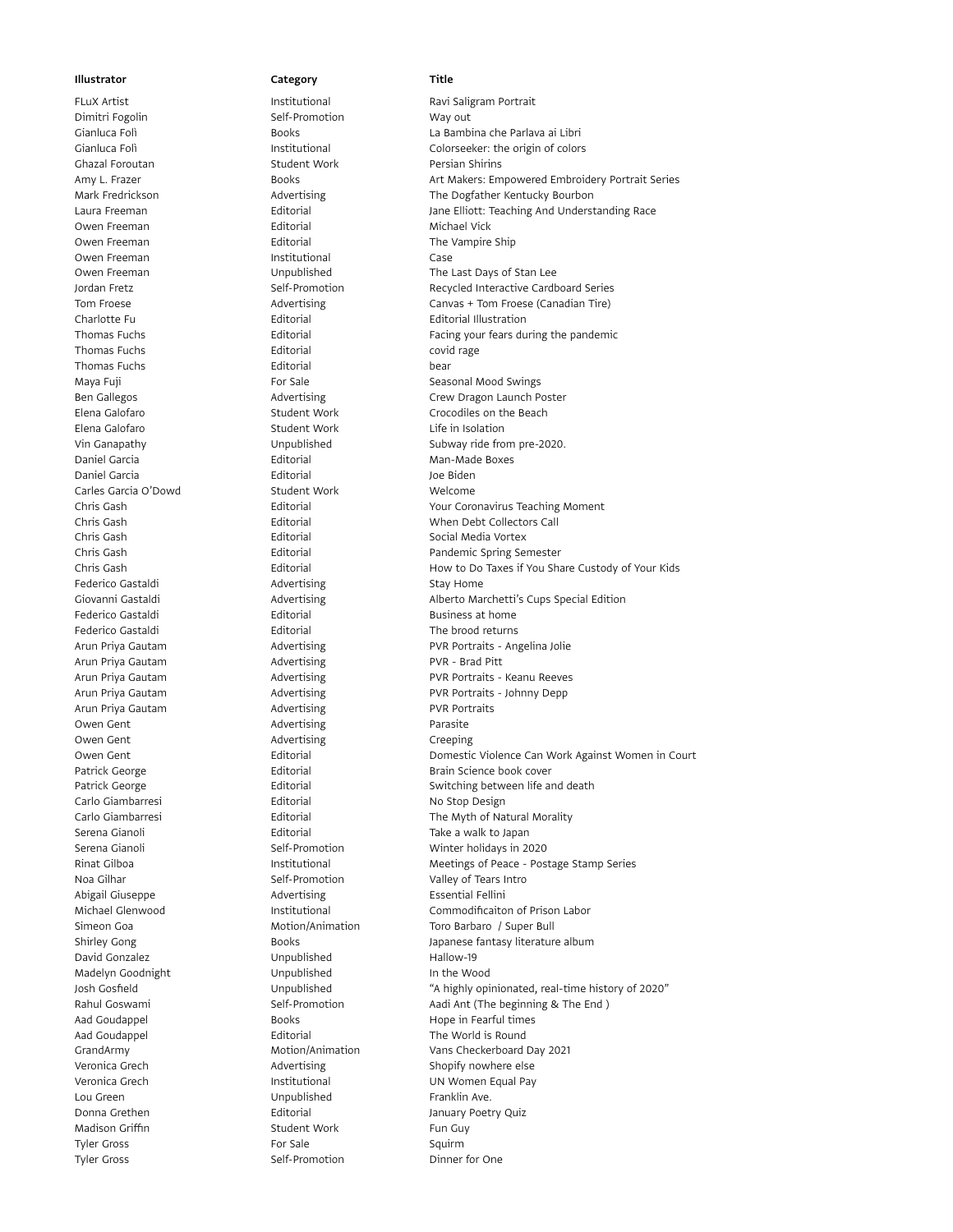Dimitri Fogolin Self-Promotion Way out Ghazal Foroutan Student Work Persian Shirins Owen Freeman **Editorial** Editorial Michael Vick Owen Freeman **Institutional** Case Thomas Fuchs **Editorial** Editorial covid rage Thomas Fuchs **Editorial** Editorial bear Elena Galofaro Student Work Life in Isolation Daniel Garcia **Editorial** Editorial Man-Made Boxes Daniel Garcia **Carcia** Editorial Garcia Composition Editorial According to the Biden Carles Garcia O'Dowd Student Work Welcome Federico Gastaldi **Advertising** Castaldi Advertising Stay Home Arun Priya Gautam **Advertising** PVR - Brad Pitt Arun Priya Gautam **Advertising Advertising** PVR Portraits Owen Gent **Advertising** Parasite Owen Gent **Creeping** Advertising Creeping Carlo Giambarresi **Editorial** Editorial No Stop Design Abigail Giuseppe **Advertising** Essential Fellini David Gonzalez Unpublished Hallow-19 Madelyn Goodnight **In the Wood** Unpublished In the Wood Lou Green **Example 20** Unpublished Franklin Ave. Madison Griffin **Madison Griffin** Student Work Fun Guy Tyler Gross **For Sale Squirm** For Sale Squirm

FLuX Artist **Institutional** Institutional Ravi Saligram Portrait Gianluca Folì Books La Bambina che Parlava ai Libri Gianluca Folì **Institutional** Colorseeker: the origin of colors Amy L. Frazer **Art Makers: Empowered Embroidery Portrait Series** Art Makers: Empowered Embroidery Portrait Series Mark Fredrickson **Advertising** The Dogfather Kentucky Bourbon Advertising Laura Freeman **Editorial** Editorial Jane Elliott: Teaching And Understanding Race Owen Freeman **Editorial** Editorial The Vampire Ship Owen Freeman Unpublished The Last Days of Stan Lee Jordan Fretz Self-Promotion Recycled Interactive Cardboard Series Tom Froese **Advertising** Canvas + Tom Froese (Canadian Tire) Canvas + Tom Froese (Canadian Tire) Charlotte Fu Editorial Editorial Illustration Thomas Fuchs **Editorial** Editorial Facing your fears during the pandemic Maya Fuji **For Sale Seasonal Mood Swings** For Sale Seasonal Mood Swings Ben Gallegos **Advertising Crew Dragon Launch Poster** Crew Dragon Launch Poster Elena Galofaro **Student Work** Crocodiles on the Beach Vin Ganapathy **Subway ride from pre-2020**. Chris Gash Editorial Your Coronavirus Teaching Moment Chris Gash Editorial When Debt Collectors Call Chris Gash **Editorial** Editorial Social Media Vortex Chris Gash Editorial Pandemic Spring Semester Chris Gash Editorial How to Do Taxes if You Share Custody of Your Kids Giovanni Gastaldi **Advertising** Alberto Marchetti's Cups Special Edition Federico Gastaldi **Editorial** Editorial Business at home Federico Gastaldi Editorial The brood returns Arun Priya Gautam **Advertising** PVR Portraits - Angelina Jolie Arun Priya Gautam **Advertising Advertising** PVR Portraits - Keanu Reeves Arun Priya Gautam **Advertising PVR Portraits - Johnny Depp** PVR Portraits - Johnny Depp Owen Gent Editorial Domestic Violence Can Work Against Women in Court Patrick George Editorial Brain Science book cover Patrick George **Editorial** Editorial Switching between life and death Carlo Giambarresi Editorial The Myth of Natural Morality Serena Gianoli Editorial Take a walk to Japan Serena Gianoli Self-Promotion Winter holidays in 2020 Rinat Gilboa **Institutional** Meetings of Peace - Postage Stamp Series Noa Gilhar Self-Promotion Valley of Tears Intro Michael Glenwood Institutional Commodificaiton of Prison Labor Simeon Goa **Motion/Animation** Toro Barbaro / Super Bull Shirley Gong **Books** Books **Japanese fantasy literature album** Josh Gosfield Unpublished "A highly opinionated, real-time history of 2020" Rahul Goswami Self-Promotion Aadi Ant (The beginning & The End ) Aad Goudappel **Books** Books **Hope in Fearful times** Aad Goudappel **Editorial** Editorial The World is Round GrandArmy Motion/Animation Vans Checkerboard Day 2021 Veronica Grech **Advertising** Shopify nowhere else Veronica Grech **Institutional** Institutional UN Women Equal Pay Donna Grethen **International** Editorial **Constanting Constanting Constanting Constanting Constanting Constanting Constanting Constanting Constanting Constanting Constanting Constanting Constanting Constanting Constanting C** Tyler Gross The Self-Promotion Community Dinner for One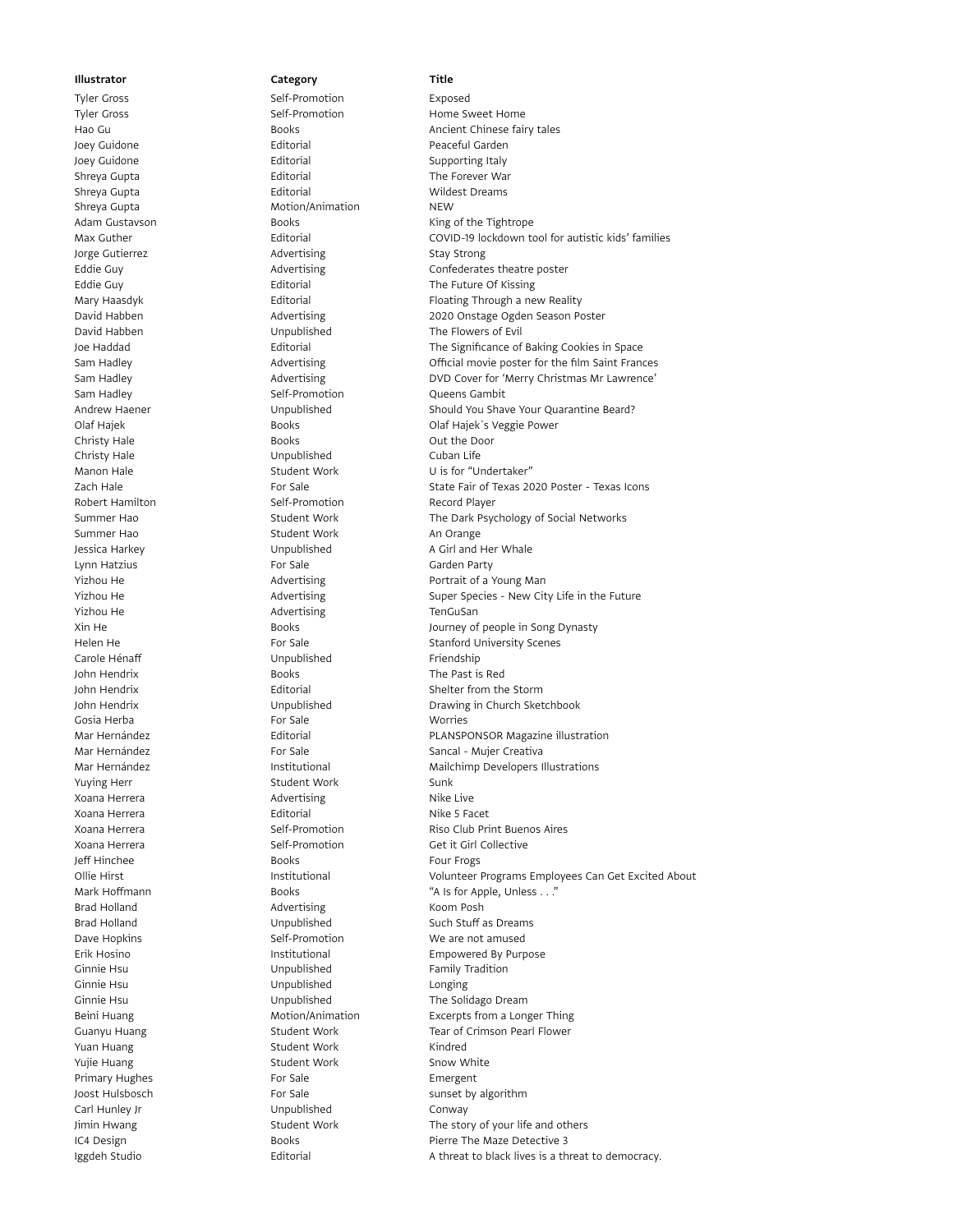## Tyler Gross Self-Promotion Exposed Joey Guidone **Editorial** Editorial **Peaceful Garden** Joey Guidone **Editorial** Editorial Supporting Italy Shreya Gupta **Editorial** Editorial The Forever War Shreya Gupta **Editorial** Editorial Communications and Mildest Dreams Shreya Gupta **Motion/Animation** NEW Jorge Gutierrez **Advertising** Advertising Stay Strong Sam Hadley **Self-Promotion** Self-Promotion Queens Gambit Christy Hale Books Out the Door Christy Hale **Christy Hale** Unpublished Cuban Life Robert Hamilton Self-Promotion Record Player Summer Hao Student Work An Orange Lynn Hatzius **Example 2018** For Sale **Garden Party** Garden Party Yizhou He **Advertising** Advertising TenGuSan Carole Hénaff **Example 20** Unpublished Friendship John Hendrix **Books** Books The Past is Red Gosia Herba **For Sale** For Sale Worries Yuying Herr Student Work Sunk Xoana Herrera **Advertising** Advertising Nike Live Xoana Herrera **Nicholas Editorial** Editorial Nike 5 Facet Jeff Hinchee Books Four Frogs Brad Holland **Advertising Advertising** Koom Posh Ginnie Hsu **Camillace Communism Communism Communism Communism Communism Communism Communism Communism Communism** Ginnie Hsu **Communist Communist Communist Communist Communist Communist Communist Communist Communist Communist Communist Communist Communist Communist Communist Communist Communist Communist Communist Communist Communist** Yuan Huang The Student Work The Student Work Kindred Yujie Huang Student Work Snow White Primary Hughes **Emergent** For Sale **Emergent** Carl Hunley Jr **Carl Hunley Jr** Unpublished Conway

Tyler Gross **Self-Promotion** Home Sweet Home Have Consumed Home Sweet Home Have Guide Apple Sweet Home Sweet Home Home Apple Home Books are Home Books and Apple Home Books Apple Home Sweet Home Books Apple Home Books Apple Books **Ancient Chinese fairy tales** Adam Gustavson **Books** Books **King of the Tightrope** Max Guther Editorial COVID-19 lockdown tool for autistic kids' families Eddie Guy **Advertising** Confederates theatre poster Eddie Guy **Editorial** Editorial The Future Of Kissing Mary Haasdyk **Editorial** Editorial Floating Through a new Reality David Habben Advertising 2020 Onstage Ogden Season Poster David Habben **National Communists** Unpublished The Flowers of Evil Joe Haddad Editorial The Significance of Baking Cookies in Space Sam Hadley **Advertising** Official movie poster for the film Saint Frances Sam Hadley **Advertising** DVD Cover for 'Merry Christmas Mr Lawrence' Andrew Haener **Matter Should You Should You Shave Your Quarantine Beard?** Unpublished Should You Shave Your Quarantine Beard? Olaf Hajek **Dramach Books** Books **Constants Colaf Hajek**'s Veggie Power Manon Hale Student Work U is for "Undertaker" Zach Hale **For Sale** For Sale State Fair of Texas 2020 Poster - Texas Icons Summer Hao Student Work The Dark Psychology of Social Networks Jessica Harkey **A Girl and Her Whale** Unpublished A Girl and Her Whale Yizhou He **Advertising** Portrait of a Young Man Yizhou He **Advertising** Super Species - New City Life in the Future Advertising Xin He Books Books Books Journey of people in Song Dynasty Helen He **For Sale** For Sale Stanford University Scenes John Hendrix **Editorial** Editorial Shelter from the Storm John Hendrix Unpublished Drawing in Church Sketchbook Mar Hernández **Editorial PLANSPONSOR Magazine illustration** Mar Hernández **For Sale Sancal - Mujer Creativa** For Sale Sancal - Mujer Creativa Mar Hernández **Institutional Mailchimp Developers Illustrations** Xoana Herrera **Network Self-Promotion** Riso Club Print Buenos Aires Xoana Herrera Self-Promotion Get it Girl Collective Ollie Hirst **Institutional** Institutional Volunteer Programs Employees Can Get Excited About Mark Hoffmann **Books** Books **"A Is for Apple, Unless . . ."** Brad Holland Unpublished Such Stuff as Dreams Dave Hopkins **Self-Promotion** Self-Promotion We are not amused Erik Hosino **Institutional** Empowered By Purpose Ginnie Hsu **Canadia Exercise Solidago Dream** Unpublished The Solidago Dream Beini Huang **Motion/Animation** Excerpts from a Longer Thing Guanyu Huang Tear of Crimson Pearl Flower Student Work Tear of Crimson Pearl Flower Joost Hulsbosch **For Sale** For Sale sunset by algorithm Jimin Hwang Student Work The story of your life and others IC4 Design Books Books Pierre The Maze Detective 3 Iggdeh Studio Editorial A threat to black lives is a threat to democracy.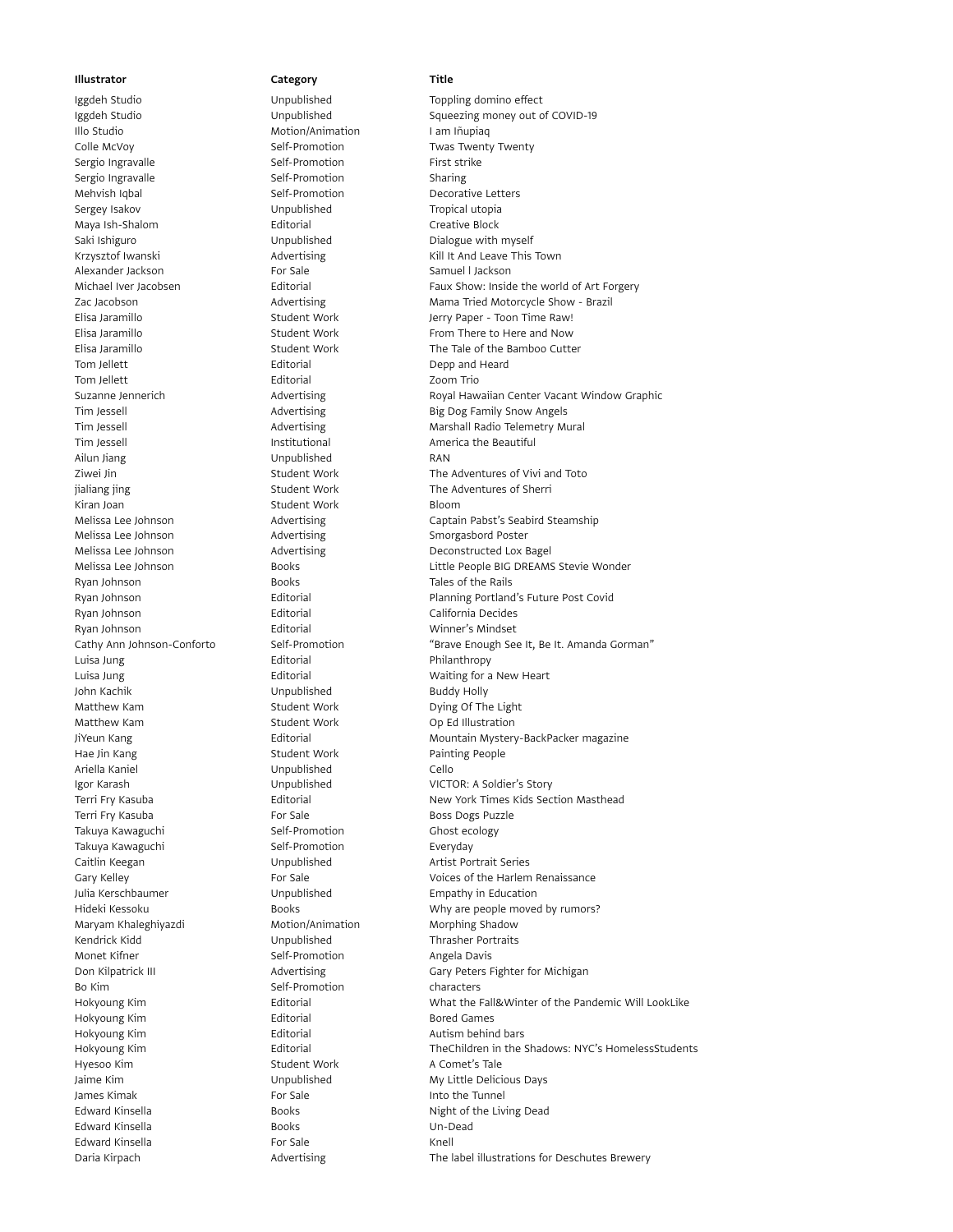Illo Studio **Motion/Animation** I am Iñupiaq Colle McVoy **Self-Promotion** Self-Promotion Twas Twenty Twenty Sergio Ingravalle Self-Promotion First strike Sergio Ingravalle Self-Promotion Sharing Mehvish Iqbal **Self-Promotion** Decorative Letters Sergey Isakov **National Unpublished** Tropical utopia Maya Ish-Shalom Editorial Creative Block Alexander Jackson **For Sale** For Sale Samuel I Jackson Tom Jellett **Editorial** Editorial Depp and Heard Tom Jellett **Editorial** Editorial Zoom Trio Tim Jessell Institutional America the Beautiful Ailun Jiang Unpublished RAN Kiran Joan **Student Work** Student Work Bloom Melissa Lee Johnson **Advertising** Smorgasbord Poster Ryan Johnson **Books** Books Tales of the Rails Ryan Johnson **Editorial** Editorial California Decides Ryan Johnson Editorial Winner's Mindset Luisa Jung **Editorial** Editorial Philanthropy John Kachik Unpublished Buddy Holly Matthew Kam **Student Work** Op Ed Illustration Hae Jin Kang **Student Work** Painting People Ariella Kaniel Unpublished Cello Terri Fry Kasuba **For Sale** For Sale **Boss Dogs Puzzle** Boss Dogs Puzzle Takuya Kawaguchi **Self-Promotion** Self-Promotion Ghost ecology Takuya Kawaguchi **Self-Promotion** Self-Promotion Everyday Caitlin Keegan **Cancell** Unpublished Artist Portrait Series Julia Kerschbaumer Unpublished Empathy in Education Maryam Khaleghiyazdi **Motion/Animation** Morphing Shadow Kendrick Kidd **National Unpublished** Thrasher Portraits Monet Kifner **Self-Promotion** Self-Promotion Angela Davis Bo Kim Self-Promotion characters Hokyoung Kim **Editorial** Editorial Bored Games Hokyoung Kim **Editorial** Editorial Autism behind bars Hyesoo Kim Student Work A Comet's Tale James Kimak **For Sale** For Sale **Into the Tunnel** Edward Kinsella Books Un-Dead Edward Kinsella **For Sale** For Sale Knell

Iggdeh Studio Unpublished Toppling domino effect Iggdeh Studio Unpublished Squeezing money out of COVID-19 Unpublished Dialogue with myself Krzysztof Iwanski **Krzysztof Iwanski** Advertising Kill It And Leave This Town Michael Iver Jacobsen Editorial Faux Show: Inside the world of Art Forgery Zac Jacobson **Advertising Mama Tried Motorcycle Show** - Brazil Elisa Jaramillo Student Work Jerry Paper - Toon Time Raw! Elisa Jaramillo **Student Work** From There to Here and Now Elisa Jaramillo Student Work The Tale of the Bamboo Cutter Suzanne Jennerich **Advertising** Advertising Royal Hawaiian Center Vacant Window Graphic Tim Jessell **Advertising** Big Dog Family Snow Angels Tim Jessell **Advertising** Marshall Radio Telemetry Mural Ziwei Jin Student Work The Adventures of Vivi and Toto jialiang jing Student Work The Adventures of Sherri in the Adventures of Sherri Melissa Lee Johnson **Advertising** Captain Pabst's Seabird Steamship Melissa Lee Johnson **Advertising** Deconstructed Lox Bagel Melissa Lee Johnson Books Little People BIG DREAMS Stevie Wonder Ryan Johnson **Editorial** Editorial Planning Portland's Future Post Covid Cathy Ann Johnson-Conforto Self-Promotion "Brave Enough See It, Be It. Amanda Gorman"<br>
Luisa Jung Conforto Editorial Philanthropy Luisa Jung **Editorial** Editorial **Example 2016** Waiting for a New Heart Student Work Dying Of The Light JiYeun Kang **Editorial Mountain Mystery-BackPacker magazine** Editorial Mountain Mystery-BackPacker magazine Igor Karash Unpublished VICTOR: A Soldier's Story Terri Fry Kasuba **Editorial** Editorial New York Times Kids Section Masthead Gary Kelley **For Sale** For Sale **Voices of the Harlem Renaissance** Voices of the Harlem Renaissance Hideki Kessoku **Books** Books Why are people moved by rumors? Don Kilpatrick III **Advertising** Gary Peters Fighter for Michigan Cary Peters Fighter for Michigan Hokyoung Kim Editorial What the Fall&Winter of the Pandemic Will LookLike Hokyoung Kim **Editorial** Editorial TheChildren in the Shadows: NYC's HomelessStudents Jaime Kim **My Little Delicious Days** Unpublished My Little Delicious Days Edward Kinsella **Books** Books **Night of the Living Dead** Daria Kirpach **Advertising The label illustrations for Deschutes Brewery Contains and Advertising The label illustrations for Deschutes Brewery**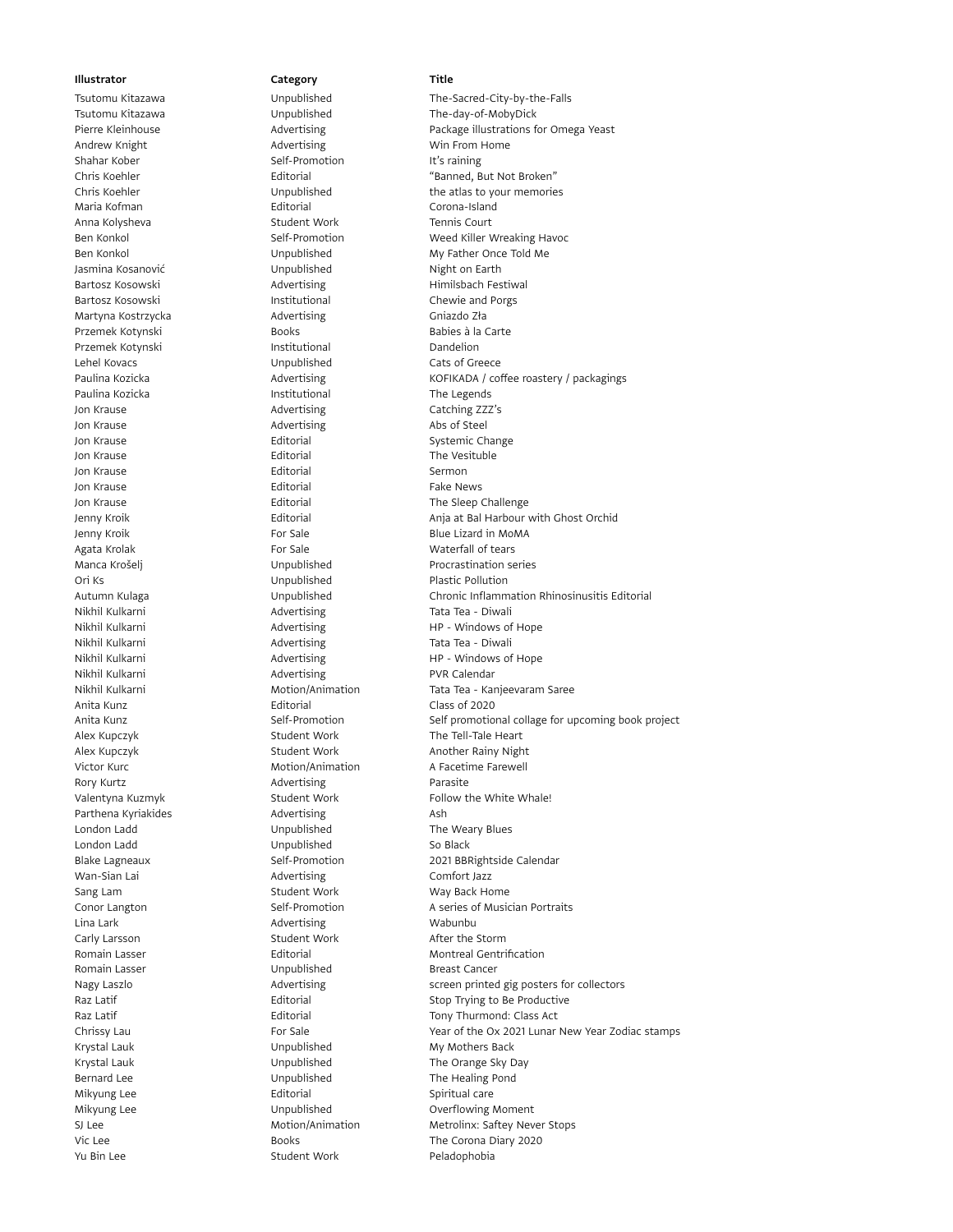Shahar Kober Self-Promotion It's raining Maria Kofman **Editorial** Editorial Corona-Island Anna Kolysheva **Student Work** Tennis Court Jasmina Kosanović Unpublished Night on Earth Martyna Kostrzycka **Martyna Kostrzycka** Advertising Chiazdo Zła Przemek Kotynski **Books** Books Babies à la Carte Przemek Kotynski **Institutional** Dandelion Lehel Kovacs Unpublished Cats of Greece Paulina Kozicka **Institutional** Institutional The Legends Jon Krause **Advertising** Catching ZZZ's Jon Krause **Advertising** Advertising Abs of Steel Jon Krause **Editorial** Editorial Systemic Change Jon Krause **Editorial** Editorial The Vesituble Jon Krause **Editorial** Editorial Sermon Jon Krause **Editorial** Editorial Fake News Ori Ks Unpublished Plastic Pollution Nikhil Kulkarni **Advertising** Tata Tea - Diwali Nikhil Kulkarni **Advertising** PVR Calendar Anita Kunz Editorial Class of 2020 Rory Kurtz **Advertising** Parasite Parthena Kyriakides **Advertising** Ash London Ladd **London Ladd** Unpublished The Weary Blues London Ladd **Contract Contract Contract Contract Contract Contract Contract Contract Contract Contract Contract Contract Contract Contract Contract Contract Contract Contract Contract Contract Contract Contract Contract Co** Wan-Sian Lai **Man-Sian Lai** Advertising Comfort Jazz Sang Lam Student Work May Back Home Lina Lark **Advertising** Communications and Advertising MacMunical Advertising MacMunical Advertising Communications and MacMunical Advertising Communications and MacMunical Advertising Communications and MacMunications and Carly Larsson **Student Work** After the Storm Romain Lasser **Cancer** Unpublished Breast Cancer Mikyung Lee **Editorial** Editorial Spiritual care Yu Bin Lee Student Work Peladophobia

Tsutomu Kitazawa Unpublished The-Sacred-City-by-the-Falls Tsutomu Kitazawa Unpublished The-day-of-MobyDick Pierre Kleinhouse **Advertising** Package illustrations for Omega Yeast<br>
Advertising Package illustrations for Omega Yeast<br>
Advertising Package illustrations for Omega Yeast Advertising Win From Home Chris Koehler Editorial "Banned, But Not Broken" Chris Koehler **The Unpublished** the atlas to your memories Ben Konkol Self-Promotion Meed Killer Wreaking Havoc Ben Konkol **Brandford** Unpublished My Father Once Told Me Bartosz Kosowski **Advertising** Himilsbach Festiwal Bartosz Kosowski **Institutional** Chewie and Porgs Paulina Kozicka **Advertising** KOFIKADA / coffee roastery / packagings Jon Krause **Editorial** Editorial The Sleep Challenge Jenny Kroik Editorial Anja at Bal Harbour with Ghost Orchid Jenny Kroik **For Sale** For Sale Blue Lizard in MoMA Agata Krolak **For Sale** For Sale Waterfall of tears Manca Krošelj **Manca Krošelj** Unpublished Procrastination series Autumn Kulaga Unpublished Chronic Inflammation Rhinosinusitis Editorial Nikhil Kulkarni Advertising HP - Windows of Hope Advertising Tata Tea - Diwali Nikhil Kulkarni **Advertising** HP - Windows of Hope Nikhil Kulkarni **Motion/Animation** Tata Tea - Kanjeevaram Saree Anita Kunz **Self-Promotion** Self-Promotion Self promotional collage for upcoming book project Alex Kupczyk **Student Work** The Tell-Tale Heart Alex Kupczyk **Student Work** Another Rainy Night Victor Kurc **Motion/Animation** A Facetime Farewell Valentyna Kuzmyk **Student Work** Follow the White Whale! Blake Lagneaux Self-Promotion 2021 BBRightside Calendar Conor Langton **Self-Promotion** Self-Promotion A series of Musician Portraits Romain Lasser **Editorial** Editorial Montreal Gentrification Nagy Laszlo **Advertising** Screen printed gig posters for collectors and the Advertising Raz Latif **Editorial** Editorial Stop Trying to Be Productive Raz Latif **Editorial** Editorial Tony Thurmond: Class Act Chrissy Lau For Sale Year of the Ox 2021 Lunar New Year Zodiac stamps Krystal Lauk **National Lauk Communist Communist Unpublished** My Mothers Back Krystal Lauk **National Communists** Unpublished The Orange Sky Day Bernard Lee **The Healing Pond** Unpublished The Healing Pond Mikyung Lee **Night Constructs** Unpublished **Constructs** Overflowing Moment SJ Lee **Motion/Animation** Metrolinx: Saftey Never Stops Vic Lee **Books** Books The Corona Diary 2020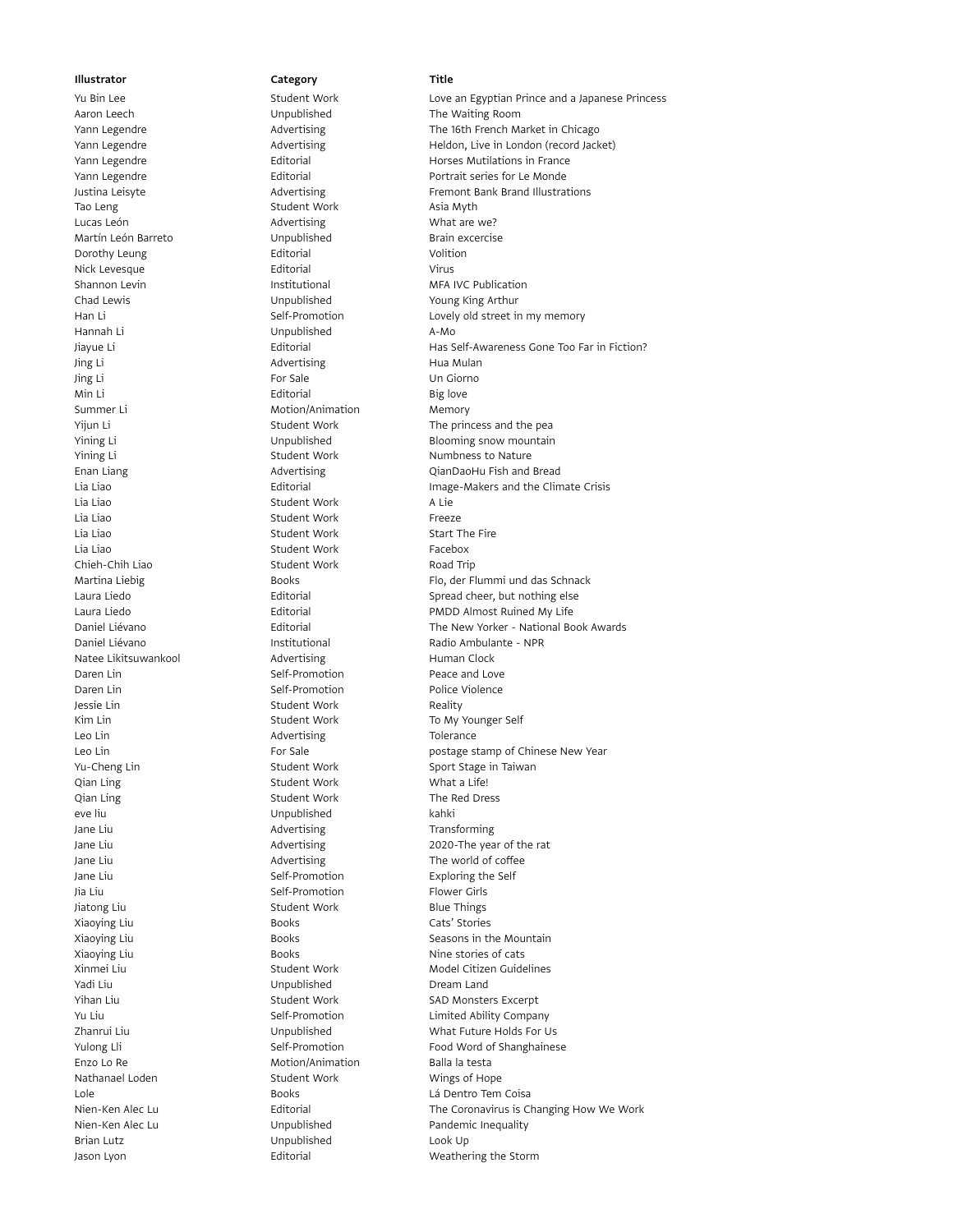Tao Leng Student Work Asia Myth Lucas León **Advertising** What are we? Martín León Barreto **Martín León Brain excercise** Dorothy Leung **Editorial** Editorial Volition Nick Levesque **Editorial** Editorial Virus Chad Lewis Unpublished Young King Arthur Hannah Li Unpublished A-Mo Jing Li **Advertising** Hua Mulan Jing Li For Sale Un Giorno Min Li **Editorial** Big love Summer Li Motion/Animation Memory Lia Liao Student Work A Lie Lia Liao **Student Work** Freeze Lia Liao Student Work Student Work Start The Fire Lia Liao Student Work Facebox Chieh-Chih Liao Student Work Road Trip Natee Likitsuwankool **Advertising** Matee Likitsuwankool Advertising Daren Lin Self-Promotion Peace and Love Daren Lin North Self-Promotion New York: Promotion Police Violence Jessie Lin **Student Work** Reality Leo Lin **Advertising** Change Tolerance Qian Ling Contract Contract Contract Contract Contract Contract Contract Contract Contract Contract Contract Contract Contract Contract Contract Contract Contract Contract Contract Contract Contract Contract Contract Contr Qian Ling **Student Work** The Red Dress eve liu Unpublished kahki Jane Liu **Advertising** Transforming Jane Liu Self-Promotion Exploring the Self-Promotion Jia Liu **Self-Promotion** Self-Promotion Flower Girls Jiatong Liu **Student Work** Blue Things Xiaoying Liu **Cats'** Stories **Cats'** Stories Yadi Liu **Caracterista Compublished** Dream Land Enzo Lo Re **Motion/Animation** Balla la testa Nathanael Loden Student Work Mings of Hope Brian Lutz Unpublished Look Up

Yu Bin Lee Student Work Love an Egyptian Prince and a Japanese Princess Aaron Leech Unpublished The Waiting Room Yann Legendre **Advertising** The 16th French Market in Chicago **The 16th French Market** in Chicago Yann Legendre **Advertising** Heldon, Live in London (record Jacket) and Dental Advertising Yann Legendre **Editorial** Editorial Horses Mutilations in France Yann Legendre **Editorial** Editorial Portrait series for Le Monde Justina Leisyte **Advertising** Fremont Bank Brand Illustrations **Advertising** Fremont Bank Brand Illustrations Shannon Levin **Institutional** Institutional MFA IVC Publication Han Li **Self-Promotion** Lovely old street in my memory Jiayue Li Editorial Has Self-Awareness Gone Too Far in Fiction? Yijun Li Student Work The princess and the pear Yining Li **Example 20** Unpublished Blooming snow mountain Yining Li<br>Student Work Numbness to Nature Enan Liang **Advertising** CianDaoHu Fish and Bread Lia Liao Editorial Image-Makers and the Climate Crisis Martina Liebig **Example 20** Hooks Flo, der Flummi und das Schnack Laura Liedo **Editorial** Editorial Spread cheer, but nothing else Laura Liedo **Editorial Editorial PMDD Almost Ruined My Life** Daniel Liévano Editorial The New Yorker - National Book Awards Institutional Radio Ambulante - NPR<br>Advertising Human Clock Kim Lin Student Work To My Younger Self Leo Lin **For Sale** For Sale **For Sale** postage stamp of Chinese New Year Yu-Cheng Lin Student Work Sport Stage in Taiwan Jane Liu Advertising 2020-The year of the rat Jane Liu and a state of the More of Advertising The world of coffee Xiaoying Liu **Seasons in the Mountain** Books **Seasons in the Mountain** Xiaoying Liu **Books** Books Nine stories of cats Xinmei Liu Student Work Model Citizen Guidelines Yihan Liu Student Work Student Work SAD Monsters Excerpt Yu Liu Self-Promotion Limited Ability Company Zhanrui Liu Unpublished What Future Holds For Us Yulong Lli Self-Promotion Food Word of Shanghainese Lole Books Lá Dentro Tem Coisa Nien-Ken Alec Lu Editorial The Coronavirus is Changing How We Work Nien-Ken Alec Lu **Inpublished** Pandemic Inequality Jason Lyon **Editorial** Editorial Weathering the Storm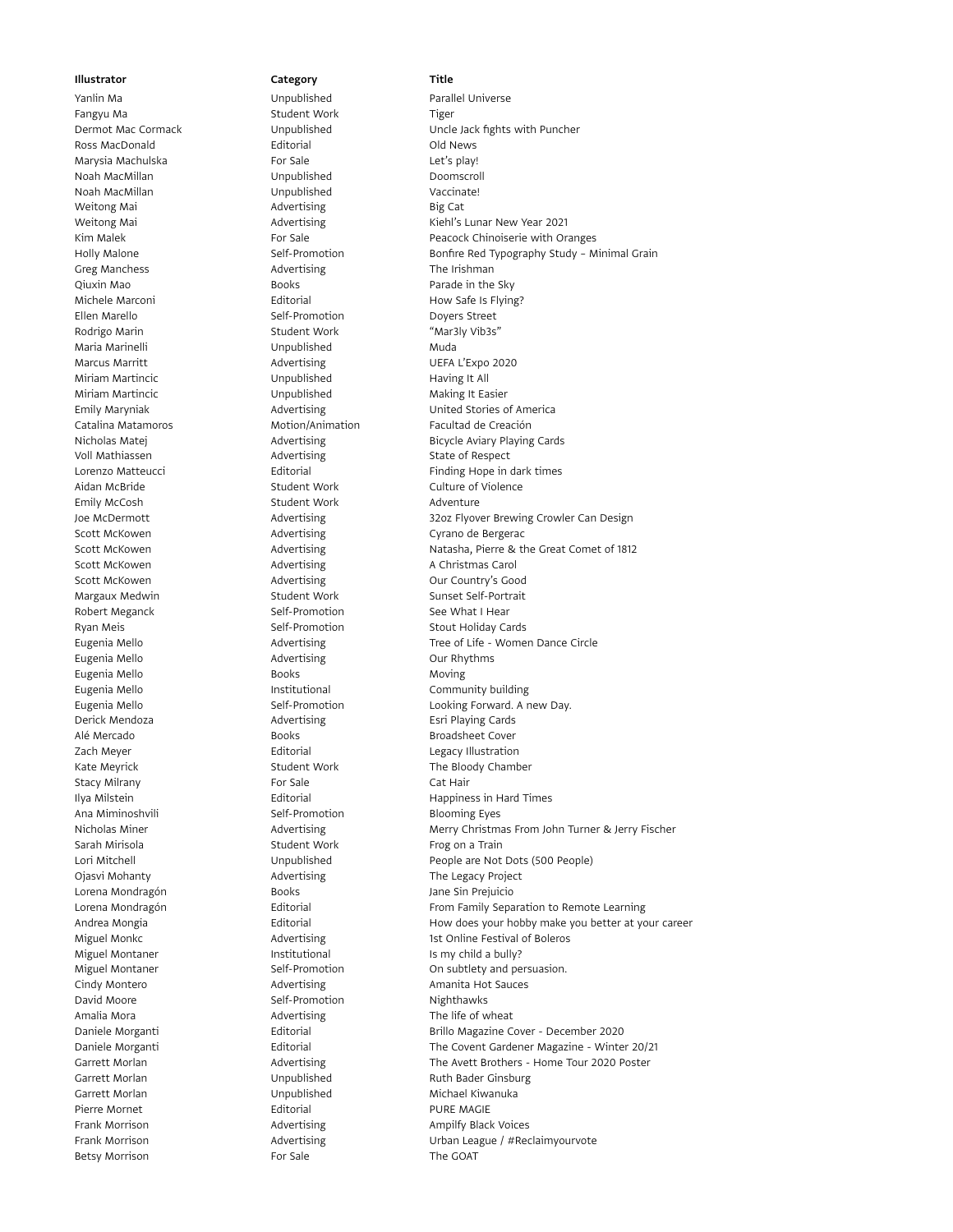Fangyu Ma **Student Work** Tiger Ross MacDonald **Editorial** Editorial **Editorial** Old News Marysia Machulska **For Sale** For Sale Let's play! Noah MacMillan Unpublished Doomscroll Noah MacMillan Unpublished Vaccinate! Weitong Mai **Advertising** Big Cat Greg Manchess **Advertising** The Irishman Qiuxin Mao **Books** Books **Parade in the Sky** Michele Marconi **Editorial** Editorial How Safe Is Flying? Ellen Marello **Self-Promotion** Self-Promotion Doyers Street Rodrigo Marin North Student Work "Mar3ly Vib3s" Maria Marinelli Unpublished Muda Marcus Marritt **Advertising** Marcus Marcus Marritt Advertising UEFA L'Expo 2020 Miriam Martincic **National Miriam Martincic** Unpublished Having It All Miriam Martincic **Miriam Making It Easier** Unpublished Making It Easier Voll Mathiassen **Advertising** State of Respect Aidan McBride **Student Work** Culture of Violence Emily McCosh Student Work Adventure Scott McKowen **Advertising** Cyrano de Bergerac Scott McKowen **Advertising** A Christmas Carol Scott McKowen **Advertising** Our Country's Good Margaux Medwin Student Work Sunset Self-Portrait Robert Meganck Self-Promotion See What I Hear Ryan Meis **Self-Promotion** Stout Holiday Cards Eugenia Mello **Advertising** Cur Rhythms Eugenia Mello **Books** Books **Moving** Derick Mendoza **Advertising** Esri Playing Cards Alé Mercado **Books** Books Broadsheet Cover Zach Meyer **Editorial** Editorial **Legacy Illustration** Stacy Milrany **Example 20** For Sale Cat Hair Ana Miminoshvili Self-Promotion Blooming Eyes Sarah Mirisola **Student Work** Frog on a Train Ojasvi Mohanty **Advertising** The Legacy Project Lorena Mondragón **Books** Books Jane Sin Prejuicio Miguel Montaner **Institutional** Institutional Is my child a bully? David Moore Self-Promotion Nighthawks Amalia Mora **Advertising** Advertising The life of wheat Garrett Morlan **Michael Kiwanuka** Unpublished Michael Kiwanuka Pierre Mornet **Editorial** Editorial PURE MAGIE Betsy Morrison **For Sale** For Sale The GOAT

Yanlin Ma Unpublished Parallel Universe

Dermot Mac Cormack Unpublished Uncle Jack fights with Puncher Weitong Mai **Advertising** Kiehl's Lunar New Year 2021 Kim Malek **For Sale** For Sale **For Sale** Peacock Chinoiserie with Oranges Holly Malone **Self-Promotion** Bonfire Red Typography Study – Minimal Grain Bonfire Red Typography Study – Minimal Grain Emily Maryniak **Advertising** Communication Maryniak Advertising Communication Maryniak Catalina Matamoros **Motion/Animation** Facultad de Creación Nicholas Matej **Advertising** Bicycle Aviary Playing Cards Lorenzo Matteucci **Editorial** Editorial Finding Hope in dark times Joe McDermott Advertising 32oz Flyover Brewing Crowler Can Design Scott McKowen **Advertising** Advertising Natasha, Pierre & the Great Comet of 1812 Eugenia Mello **Advertising** Tree of Life - Women Dance Circle Eugenia Mello **Institutional** Community building Eugenia Mello **Self-Promotion** Self-Promotion Looking Forward. A new Day. Kate Meyrick **Student Work** Student Work The Bloody Chamber Ilya Milstein Editorial Happiness in Hard Times Nicholas Miner Advertising Merry Christmas From John Turner & Jerry Fischer Lori Mitchell Unpublished People are Not Dots (500 People) Lorena Mondragón Editorial From Family Separation to Remote Learning Andrea Mongia **Editorial** Editorial How does your hobby make you better at your career Miguel Monkc **Advertising** 1st Online Festival of Boleros 1st Online Advertising Miguel Montaner Self-Promotion Consubtlety and persuasion. Cindy Montero **Advertising** Advertising **Amanita Hot Sauces** Daniele Morganti Editorial Brillo Magazine Cover - December 2020 Daniele Morganti Editorial The Covent Gardener Magazine - Winter 20/21 Garrett Morlan **Advertising** The Avett Brothers - Home Tour 2020 Poster Garrett Morlan **National Communist Constructs** Unpublished Ruth Bader Ginsburg Frank Morrison **Advertising** Ampilfy Black Voices Frank Morrison **Advertising** Urban League / #Reclaimyourvote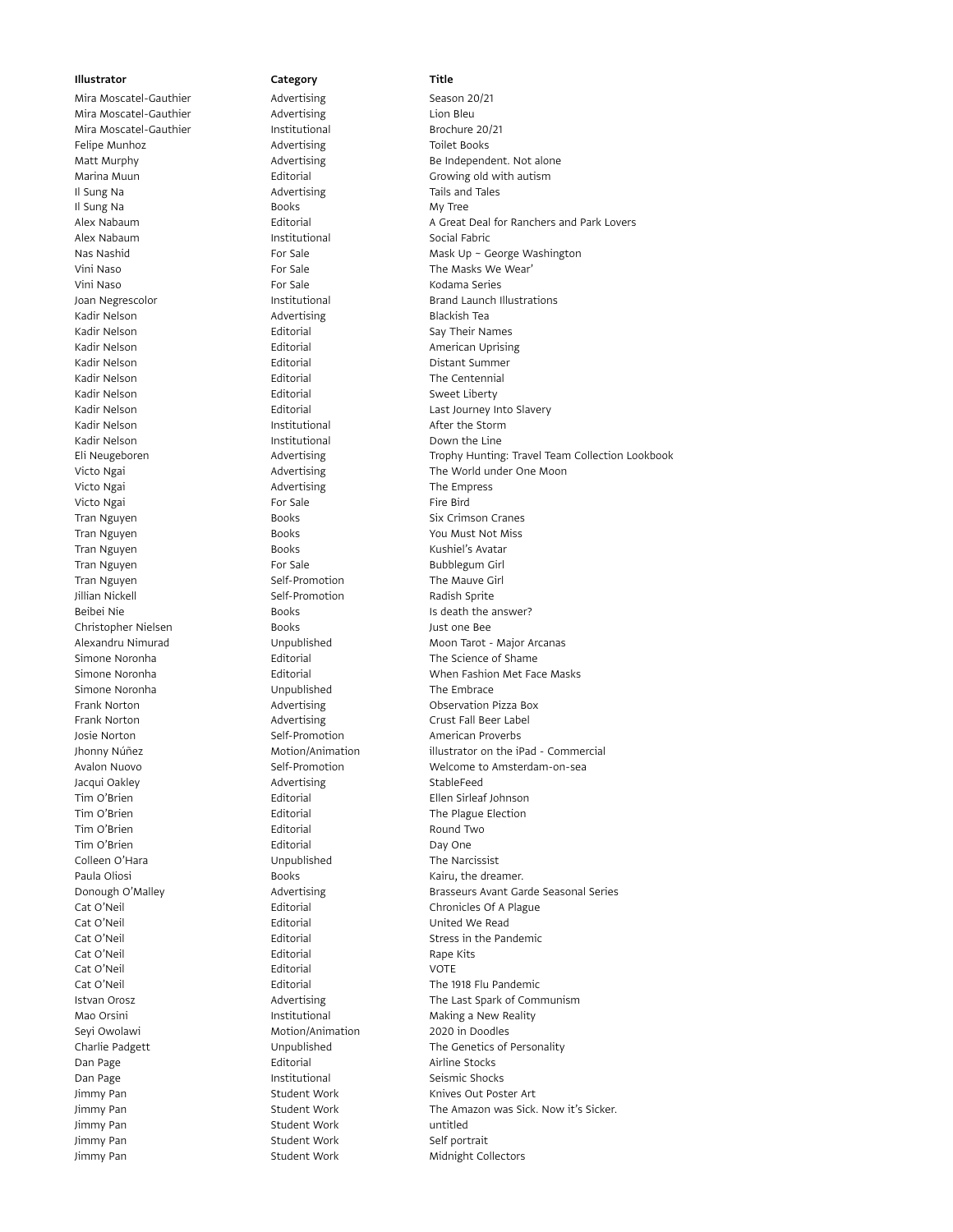Mira Moscatel-Gauthier **Advertising** Lion Bleu<br>
11 Mira Moscatel-Gauthier **Advertising** Lion Brochure 20/21 Mira Moscatel-Gauthier **Institutional** Felipe Munhoz **Advertising** Toilet Books Il Sung Na **Advertising** Tails and Tales Il Sung Na **Books** My Tree Alex Nabaum **Institutional** Institutional Social Fabric Vini Naso For Sale The Masks We Wear' Vini Naso **For Sale** For Sale Kodama Series Kadir Nelson **Advertising** Blackish Tea Kadir Nelson **Editorial** Editorial Say Their Names Kadir Nelson **Editorial** Editorial American Uprising Kadir Nelson **Editorial** Editorial **Editorial** Distant Summer<br>
Editorial Distant Summer Kadir Personnial Calibraties Kadir Nelson **Editorial** Editorial The Centennial Kadir Nelson **Editorial** Editorial Sweet Liberty Kadir Nelson **Institutional** After the Storm Kadir Nelson **Institutional** Cown the Line Victo Ngai **National Advertising** The Empress Victo Ngai **For Sale** For Sale Fire Bird Tran Nguyen **Books** Books **Six Crimson Cranes** Tran Nguyen **Books** Books **You Must Not Miss** Tran Nguyen **Books** Books **Kushiel's Avatar** Tran Nguyen **For Sale** For Sale **Bubblegum Girl** Bubblegum Girl Tran Nguyen **Tran Nguyen** Self-Promotion The Mauve Girl Jillian Nickell Self-Promotion Radish Sprite Beibei Nie Books Books Is death the answer? Christopher Nielsen Books Books Just one Bee Simone Noronha Unpublished The Embrace Frank Norton **Advertising** Characters Advertising Characters Advertising Characters Advertising Characters Advertising Characters Advertising Characters Advertising Characters Advertising Characters Advertising Characters Frank Norton **Call Advertising** Crust Fall Beer Label Josie Norton **Self-Promotion** Self-Promotion American Proverbs Jacqui Oakley **Advertising** StableFeed Tim O'Brien Editorial Ellen Sirleaf Johnson Tim O'Brien **The Plague Election** Editorial The Plague Election Tim O'Brien **Editorial** Editorial Round Two Tim O'Brien **Editorial** Editorial Day One Colleen O'Hara **Narcissist** Unpublished The Narcissist Paula Oliosi **Books** Books **Kairu**, the dreamer. Cat O'Neil Editorial United We Read Cat O'Neil **Cat O'Neil** Editorial **Editorial** Rape Kits Cat O'Neil Editorial VOTE Mao Orsini **Institutional** Institutional Making a New Reality Seyi Owolawi **Motion/Animation** 2020 in Doodles Dan Page **Editorial** Editorial Airline Stocks Dan Page **Institutional** Seismic Shocks Jimmy Pan **Student Work** Knives Out Poster Art Jimmy Pan Student Work untitled Jimmy Pan Student Work Self portrait Jimmy Pan **Student Work** Midnight Collectors

# Mira Moscatel-Gauthier Manuel Advertising Season 20/21

# Matt Murphy **Advertising** Be Independent. Not alone Marina Muun **Editorial** Editorial Growing old with autism Alex Nabaum Editorial A Great Deal for Ranchers and Park Lovers Nas Nashid **Nashid** For Sale Mask Up ~ George Washington Joan Negrescolor **Institutional** Institutional Brand Launch Illustrations Kadir Nelson **Editorial** Editorial Cast Journey Into Slavery Eli Neugeboren Advertising Trophy Hunting: Travel Team Collection Lookbook Victo Ngai **Advertising** The World under One Moon Nicto Ngai Alexandru Nimurad Unpublished Moon Tarot - Major Arcanas Simone Noronha Editorial The Science of Shame Simone Noronha **Editorial** Editorial When Fashion Met Face Masks Jhonny Núñez Motion/Animation illustrator on the iPad - Commercial Avalon Nuovo Self-Promotion Welcome to Amsterdam-on-sea Donough O'Malley **Advertising** Brasseurs Avant Garde Seasonal Series Cat O'Neil **Cat O'Neil** Editorial **Chronicles Of A Plague** Cat O'Neil **Editorial** Editorial Stress in the Pandemic Cat O'Neil Editorial The 1918 Flu Pandemic Istvan Orosz **Advertising** The Last Spark of Communism Charlie Padgett Unpublished The Genetics of Personality Jimmy Pan Student Work The Amazon was Sick. Now it's Sicker.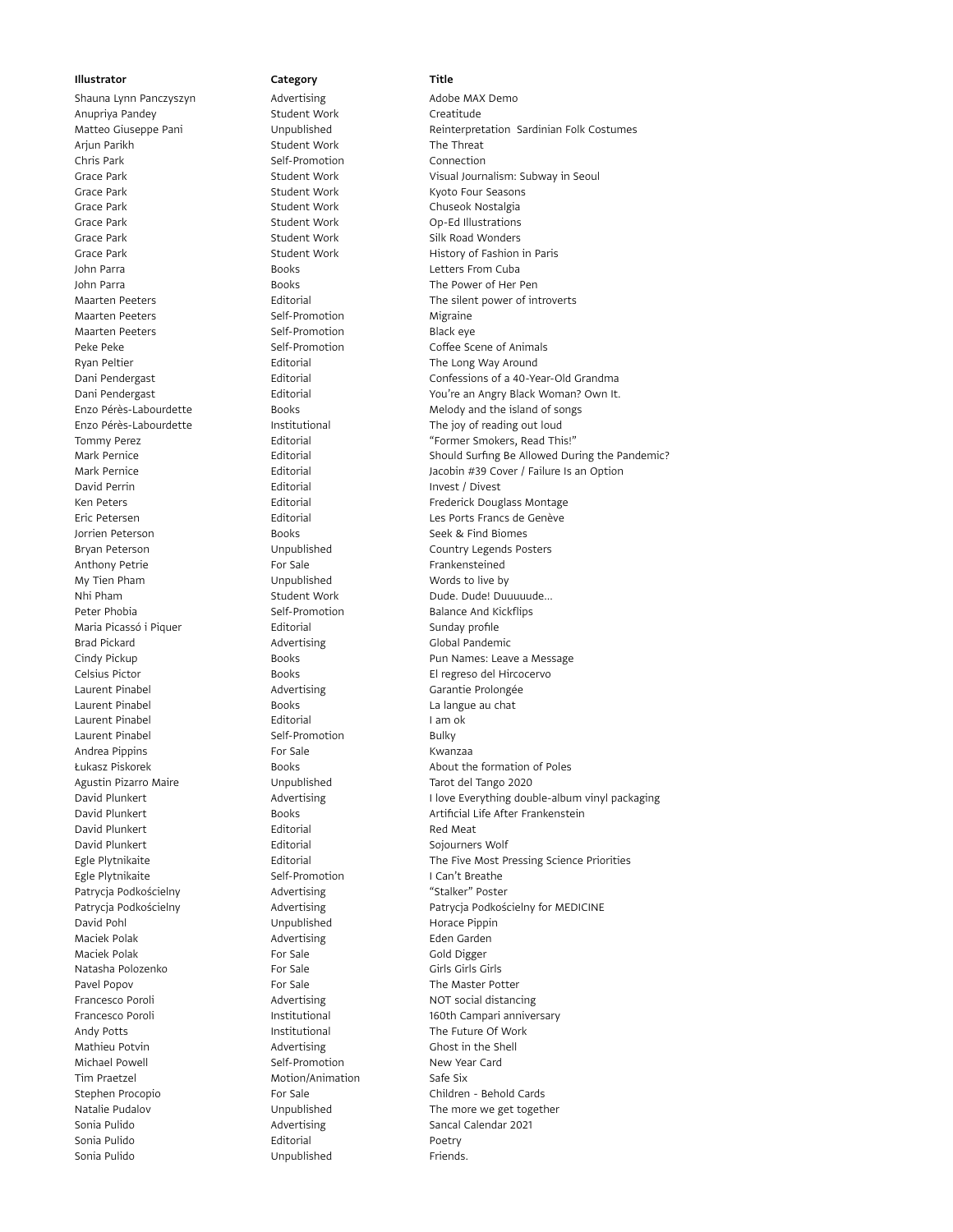Anupriya Pandey Student Work Creatitude Arjun Parikh Student Work The Threat Chris Park **Self-Promotion** Connection Grace Park **Student Work Crace Park Student Work** Kyoto Four Seasons Grace Park **Chuseok Nostalgia** Student Work Chuseok Nostalgia Grace Park Student Work Op-Ed Illustrations Grace Park **Student Work** Student Work Silk Road Wonders John Parra Books Letters From Cuba John Parra **Books** Books The Power of Her Pen Maarten Peeters **Self-Promotion** Self-Promotion Migraine Maarten Peeters **Self-Promotion** Self-Promotion Peke Peke **Self-Promotion** Coffee Scene of Animals Ryan Peltier **Editorial** Editorial The Long Way Around David Perrin Editorial Invest / Divest Jorrien Peterson Books Seek & Find Biomes<br>
Bryan Peterson Unpublished Country Legends Po Bryan Peterson Unpublished Country Legends Posters Anthony Petrie **For Sale** For Sale Frankensteined My Tien Pham Unpublished Words to live by Nhi Pham Student Work Dude. Dude! Duuuuude... Peter Phobia **Self-Promotion** Balance And Kickflips Maria Picassó i Piquer **Editorial** Editorial Sunday profile Brad Pickard **Advertising** Clobal Pandemic Celsius Pictor Books El regreso del Hircocervo Laurent Pinabel **Advertising** Carantie Prolongée Laurent Pinabel **Books** Books La langue au chat Laurent Pinabel **I am ok Editorial** I am ok Laurent Pinabel Self-Promotion Bulky Andrea Pippins **For Sale** For Sale Kwanzaa Agustin Pizarro Maire Unpublished Tarot del Tango 2020 David Plunkert **Editorial** Editorial Red Meat David Plunkert **Editorial** Editorial Sojourners Wolf Egle Plytnikaite **Self-Promotion** Self-Promotion I Can't Breathe Patrycja Podkościelny **Matrycja Polityka Advertising** "Stalker" Poster David Pohl **David Pohl** Unpublished Horace Pippin Maciek Polak **Advertising** Advertising Eden Garden Maciek Polak **For Sale** For Sale Gold Digger Natasha Polozenko **For Sale** For Sale Girls Girls Girls Girls Girls Girls Girls Girls Girls Girls Girls Girls Girls Girls Girls Girls Girls Girls Girls Girls Girls Girls Girls Girls Girls Girls Girls Girls Girls Girls Girl Pavel Popov **For Sale** For Sale The Master Potter Francesco Poroli **Advertising** NOT social distancing Andy Potts **Institutional** Institutional The Future Of Work Mathieu Potvin **Advertising** Ghost in the Shell Michael Powell **Self-Promotion** Self-Promotion New Year Card Tim Praetzel **Motion/Animation** Safe Six Stephen Procopio **For Sale** For Sale Children - Behold Cards Sonia Pulido **Advertising** Sancal Calendar 2021 Sonia Pulido Editorial Poetry Sonia Pulido **Errico Estado Estado Estado Unpublished** 

Shauna Lynn Panczyszyn **Advertising** Adobe MAX Demo Illustrator **Category** Category Title

Unpublished Reinterpretation Sardinian Folk Costumes Grace Park **Student Work** Visual Journalism: Subway in Seoul Grace Park **Student Work** History of Fashion in Paris **Grace Park** Maarten Peeters **Editorial** Editorial The silent power of introverts Dani Pendergast Editorial Confessions of a 40-Year-Old Grandma Dani Pendergast Editorial You're an Angry Black Woman? Own It. Enzo Pérès-Labourdette Books Melody and the island of songs Enzo Pérès-Labourdette Institutional The joy of reading out loud Tommy Perez This editorial This editorial the system of the set of the Former Smokers, Read This!" Mark Pernice **Editorial** Editorial Should Surfing Be Allowed During the Pandemic? Mark Pernice **Editorial** Editorial Jacobin #39 Cover / Failure Is an Option Ken Peters **Editorial Frederick Douglass Montage** Communist Prederick Douglass Montage Eric Petersen Editorial Les Ports Francs de Genève Cindy Pickup **Pun Names:** Leave a Message Łukasz Piskorek Books About the formation of Poles David Plunkert **Advertising** Advertising I love Everything double-album vinyl packaging David Plunkert Books Artificial Life After Frankenstein Egle Plytnikaite Editorial The Five Most Pressing Science Priorities Patrycja Podkościelny **Advertising** Patrycja Podkościelny for MEDICINE Francesco Poroli **Institutional** Institutional 160th Campari anniversary Natalie Pudalov Unpublished The more we get together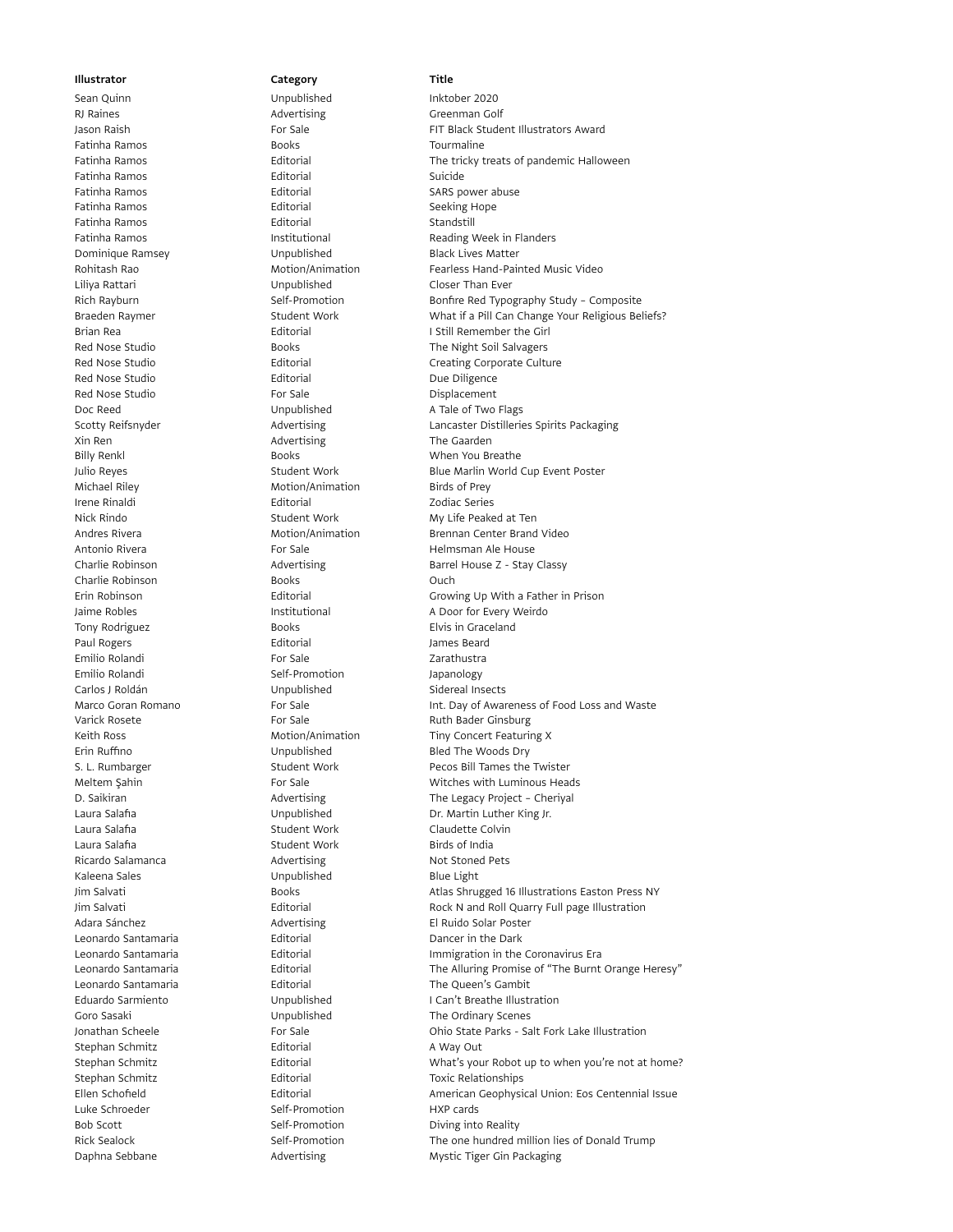RJ Raines **Advertising** Greenman Golf RJ Raines Fatinha Ramos **Exercise Solution Contract Contract Contract Contract Contract Contract Contract Contract Contract Contract Contract Contract Contract Contract Contract Contract Contract Contract Contract Contract Contract** Fatinha Ramos **Editorial** Editorial Suicide Fatinha Ramos Editorial SARS power abuse Fatinha Ramos **Editorial** Editorial Seeking Hope Fatinha Ramos **Editorial** Editorial Standstill Dominique Ramsey **Communished** Black Lives Matter Liliya Rattari Unpublished Closer Than Ever Red Nose Studio **Editorial** Editorial Due Diligence Red Nose Studio **For Sale** For Sale **Displacement** Doc Reed Contract Communished A Tale of Two Flags Xin Ren **Advertising** The Gaarden **Advertising** The Gaarden Billy Renkl **Books** Books **When You Breathe** Michael Riley Motion/Animation Birds of Prey Irene Rinaldi Editorial Zodiac Series Charlie Robinson **Books** Books **Ouch** Tony Rodriguez **Books** Books **Elvis in Graceland** Paul Rogers **Contract Editorial** Contract Contract According Manual According Paul According Paul According Paul According Paul According Paul According Paul According Paul According Paul According Paul According Paul Acco Emilio Rolandi For Sale Zarathustra Emilio Rolandi **Self-Promotion** Self-Promotion Japanology Carlos J Roldán **Carlos I Roldán Carlos Carlos I Novembre** Carlos J Roldán Carlos Carlos Carlos Carlos Carlos C Laura Salafia **Subset Claudette Colvin** Student Work Claudette Colvin Laura Salafia **Summan Accord Student Work** Birds of India Ricardo Salamanca **Advertising** Advertising Not Stoned Pets Kaleena Sales **Example 3** Unpublished Blue Light Leonardo Santamaria **Editorial** Editorial Dancer in the Dark Stephan Schmitz **Editorial** Editorial A Way Out Stephan Schmitz **Editorial** Editorial Toxic Relationships Luke Schroeder Self-Promotion HXP cards Bob Scott Self-Promotion Diving into Reality

# Sean Quinn **Installer Unpublished** Inktober 2020

## Jason Raish For Sale FIT Black Student Illustrators Award Fatinha Ramos **Editorial** Editorial The tricky treats of pandemic Halloween Fatinha Ramos **Institutional** Institutional Reading Week in Flanders Rohitash Rao **Motion/Animation** Fearless Hand-Painted Music Video Rich Rayburn Self-Promotion Bonfire Red Typography Study – Composite Braeden Raymer **Student Work** What if a Pill Can Change Your Religious Beliefs? Brian Rea **I Still Remember the Girl** Brian Rea Red Nose Studio **Books** Books The Night Soil Salvagers Red Nose Studio **Editorial Creating Corporate Culture** Creating Corporate Culture Scotty Reifsnyder **Advertising** Lancaster Distilleries Spirits Packaging Cotty Reifsnyder Julio Reyes Student Work Blue Marlin World Cup Event Poster Nick Rindo Student Work My Life Peaked at Ten Andres Rivera **Motion/Animation** Brennan Center Brand Video Antonio Rivera **For Sale** For Sale **For Sale** Helmsman Ale House Charlie Robinson **Advertising** Barrel House Z - Stay Classy Erin Robinson Editorial Growing Up With a Father in Prison Jaime Robles **Institutional** A Door for Every Weirdo Marco Goran Romano **For Sale** For Sale Int. Day of Awareness of Food Loss and Waste Varick Rosete **For Sale** For Sale Ruth Bader Ginsburg Keith Ross **Motion/Animation** Tiny Concert Featuring X Erin Ruffino **Example 20** Unpublished Bled The Woods Dry S. L. Rumbarger The Student Work Pecos Bill Tames the Twister Meltem Şahin **For Sale** For Sale **Witches with Luminous Heads** Witches with Luminous Heads D. Saikiran **Communist Communist Communist Communist Communist Communist Communist Communist Communist Communist Communist Communist Communist Communist Communist Communist Communist Communist Communist Communist Communist** Laura Salafia Unpublished Dr. Martin Luther King Jr. Jim Salvati **Books** Books **Atlas Shrugged 16 Illustrations Easton Press NY** Jim Salvati Editorial Rock N and Roll Quarry Full page Illustration Adara Sánchez **Advertising** El Ruido Solar Poster Leonardo Santamaria Editorial Immigration in the Coronavirus Era Leonardo Santamaria **Editorial** Editorial The Alluring Promise of "The Burnt Orange Heresy" Leonardo Santamaria **Editorial** Editorial The Queen's Gambit Eduardo Sarmiento Unpublished I Can't Breathe Illustration Goro Sasaki **Communished** Unpublished The Ordinary Scenes Jonathan Scheele For Sale Ohio State Parks - Salt Fork Lake Illustration Stephan Schmitz **Editorial** Editorial What's your Robot up to when you're not at home? Ellen Schofield Editorial American Geophysical Union: Eos Centennial Issue Rick Sealock Self-Promotion The one hundred million lies of Donald Trump Daphna Sebbane **Advertising** Mystic Tiger Gin Packaging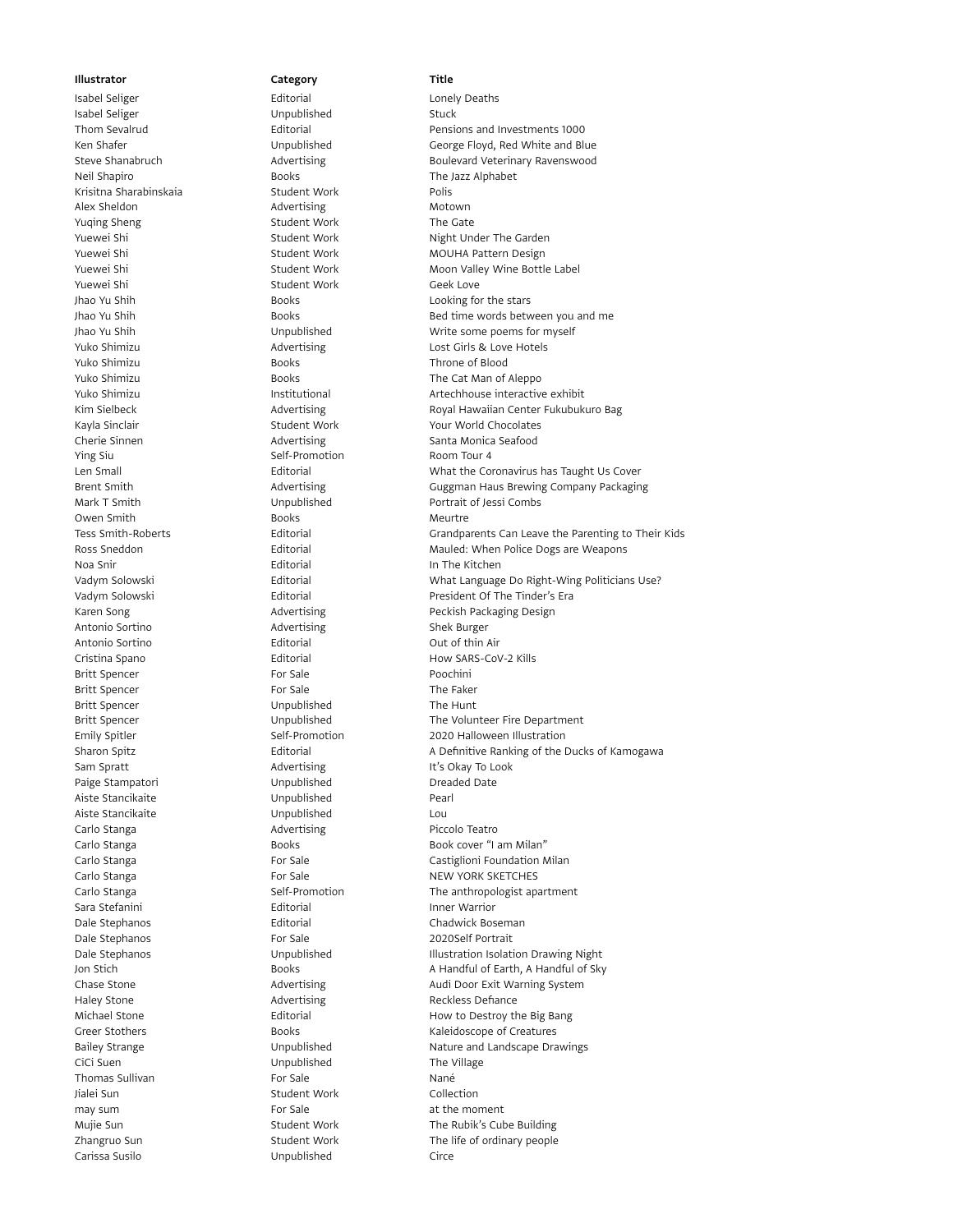Isabel Seliger **Stuck** Unpublished Stuck Neil Shapiro **Books** Books The Jazz Alphabet Krisitna Sharabinskaia Student Work Polis Alex Sheldon **Advertising** Motown Yuqing Sheng Student Work The Gate Yuewei Shi **Student Work** Geek Love Yuko Shimizu Books Throne of Blood Ying Siu **Self-Promotion** Self-Promotion Room Tour 4 Owen Smith **Books** Books Meurtre Noa Snir **In The Kitchen** Antonio Sortino **Advertising** Shek Burger Antonio Sortino **Editorial** Cut of thin Air Britt Spencer **For Sale For Sale** Poochini Britt Spencer **For Sale** For Sale The Faker Britt Spencer **The Hunt** Unpublished The Hunt Sam Spratt **Advertising** It's Okay To Look Paige Stampatori **National Communist Communist Communist Communist Communist Communist Communist Communist Communist Communist Communist Communist Communist Communist Communist Communist Communist Communist Communist Commu** Aiste Stancikaite **Aiste Stancikaite Aiste Stancikaite Pearl** Aiste Stancikaite Unpublished Lou Carlo Stanga **Advertising** Piccolo Teatro Sara Stefanini **Inner Warrior** Editorial **Inner Warrior** Controller Editorial Dale Stephanos **Editorial** Editorial Chadwick Boseman Dale Stephanos **For Sale For Sale** 2020Self Portrait Haley Stone **Advertising** Reckless Defiance CiCi Suen **Cici Suen Cici Suen Cici Suen Cici Suen Cici Suen Cici Suen Cici Suen Cici Suen Cici Suen Cici Suen Cici Suen Cici Suen Cici Suen Cici Suen Cici Suen Cici Suen Cici Suen Cici Suen Cici Suen Cici Suen Cici Suen C** Thomas Sullivan **For Sale** For Sale Nané Jialei Sun Student Work Collection may sum and the moment of the moment of the moment of the moment of the moment Carissa Susilo Unpublished Circe

Isabel Seliger **Editorial** Editorial Conely Deaths

Thom Sevalrud Editorial Pensions and Investments 1000 Ken Shafer **Market Channel Constructs** Unpublished Constructs George Floyd, Red White and Blue Steve Shanabruch **Advertising** Advertising **Boulevard Veterinary Ravenswood** Yuewei Shi Student Work Night Under The Garden Yuewei Shi Student Work MOUHA Pattern Design Yuewei Shi Student Work Moon Valley Wine Bottle Label Jhao Yu Shih **Books** Books **Looking for the stars** Jhao Yu Shih Books Books Bed time words between you and me Jhao Yu Shih Unpublished Write some poems for myself Yuko Shimizu **Advertising** Lost Girls & Love Hotels Yuko Shimizu **The Cat Man of Aleppo** Books **The Cat Man of Aleppo** Yuko Shimizu **Institutional** Institutional Artechhouse interactive exhibit Kim Sielbeck **Advertising Community Center Fukubukuro Bag** Royal Hawaiian Center Fukubukuro Bag Kayla Sinclair **Student Work Student World Chocolates** Your World Chocolates Cherie Sinnen Advertising Santa Monica Seafood Len Small Editorial What the Coronavirus has Taught Us Cover Brent Smith **Advertising** Guggman Haus Brewing Company Packaging<br>Mark T Smith Gungublished **Guara** Portrait of Jessi Combs Mark T Smith **Example 20** Unpublished Portrait of Jessi Combs Tess Smith-Roberts Editorial Grandparents Can Leave the Parenting to Their Kids Ross Sneddon Editorial Mauled: When Police Dogs are Weapons Vadym Solowski **Editorial Editorial What Language Do Right-Wing Politicians Use**? Vadym Solowski Editorial President Of The Tinder's Era Karen Song **Advertising** Peckish Packaging Design Peckish Packaging Design Cristina Spano **Editorial** Editorial How SARS-CoV-2 Kills Britt Spencer The Volunteer Fire Department Emily Spitler Self-Promotion 2020 Halloween Illustration Sharon Spitz **Editorial** Editorial A Definitive Ranking of the Ducks of Kamogawa Carlo Stanga Books Book cover "I am Milan" Carlo Stanga **For Sale** For Sale Castiglioni Foundation Milan Carlo Stanga **For Sale** For Sale **For Sale** NEW YORK SKETCHES Carlo Stanga **Self-Promotion** Self-Promotion The anthropologist apartment Dale Stephanos **Illustration Isolation Drawing Night** Unpublished **Illustration Isolation Drawing Night** Jon Stich Books A Handful of Earth, A Handful of Sky Chase Stone **Advertising** Audi Door Exit Warning System Michael Stone **Editorial** Editorial How to Destroy the Big Bang Greer Stothers **Books** Books **Kaleidoscope of Creatures** Bailey Strange **Nature** 2012 Unpublished Nature and Landscape Drawings Mujie Sun Student Work The Rubik's Cube Building Zhangruo Sun Student Work The life of ordinary people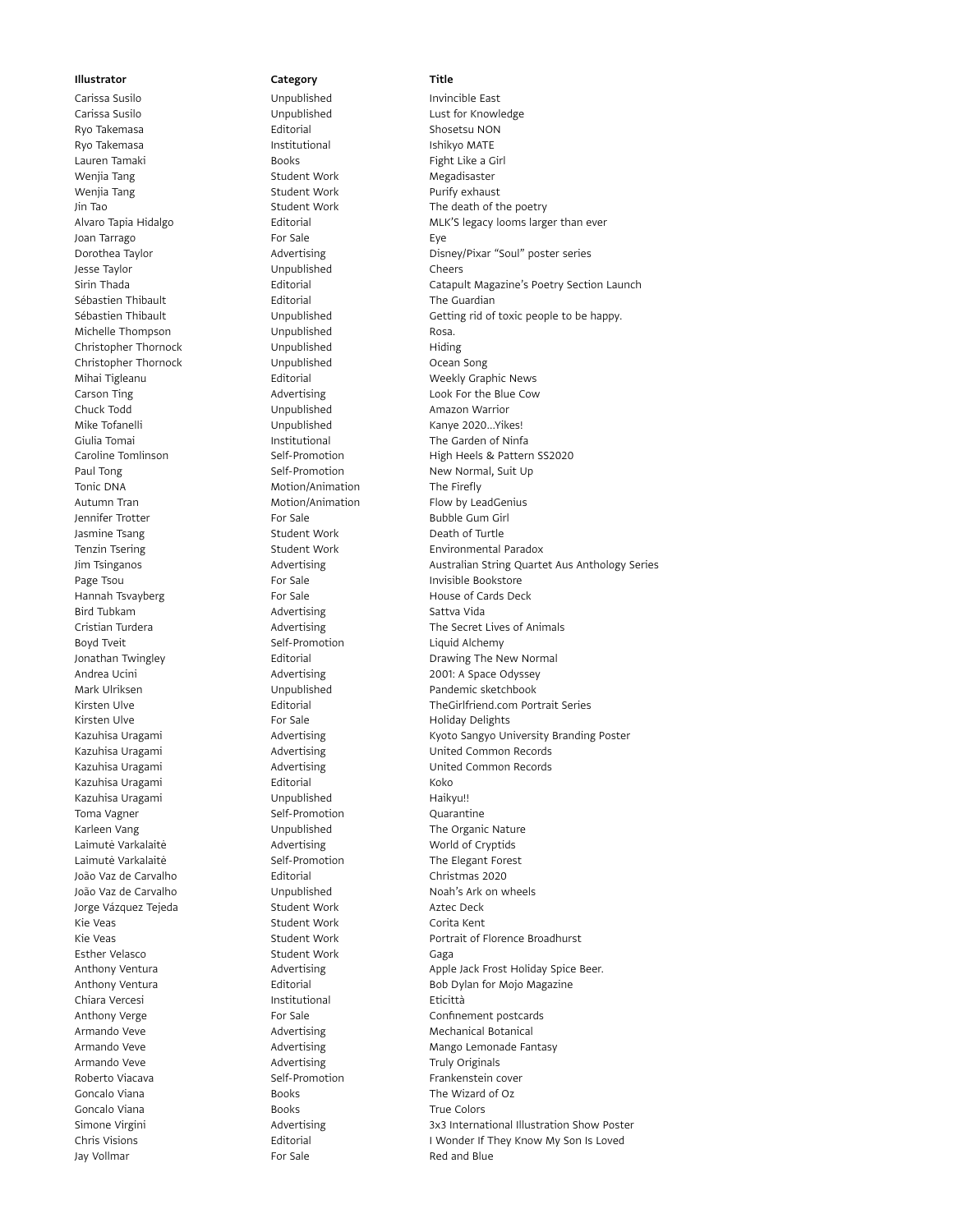Carissa Susilo Unpublished Lust for Knowledge Ryo Takemasa **Editorial** Editorial Shosetsu NON Ryo Takemasa **Institutional** Institutional Ishikyo MATE Lauren Tamaki **Books** Books **Fight Like a Girl** Wenjia Tang Student Work Megadisaster Wenjia Tang Student Work Purify exhaust Norman Student Work Purify exhaust Joan Tarrago **For Sale** For Sale Eye Jesse Taylor Unpublished Cheers Sébastien Thibault **Editorial** Editorial The Guardian Michelle Thompson **Michelle Thompson** Unpublished Rosa. Christopher Thornock **Unpublished** Hiding Christopher Thornock Unpublished Ocean Song Mihai Tigleanu **Editorial** Editorial Weekly Graphic News Chuck Todd **Chuck Todd** Unpublished Amazon Warrior Mike Tofanelli **Kanye 2020...Yikes!** Unpublished Kanye 2020...Yikes! Giulia Tomai Institutional The Garden of Ninfa Paul Tong Self-Promotion New Normal, Suit Up Tonic DNA **Motion/Animation** The Firefly Autumn Tran **Motion/Animation** Flow by LeadGenius Jennifer Trotter **For Sale** For Sale **For Sale** Bubble Gum Girl Jasmine Tsang Student Work Death of Turtle Page Tsou **For Sale** For Sale **Invisible Bookstore** Hannah Tsvayberg extending the For Sale Control of Cards Deck Bird Tubkam **Advertising** Camera Sattva Vida Boyd Tveit **Self-Promotion** Self-Promotion Liquid Alchemy Mark Ulriksen Unpublished Pandemic sketchbook Kirsten Ulve **For Sale** For Sale Holiday Delights Kazuhisa Uragami **Editorial** Editorial Koko Kazuhisa Uragami **Kazuhisa Unpublished** Haikyu!! Toma Vagner Self-Promotion Cuarantine Karleen Vang **The Organic Nature** Unpublished The Organic Nature Laimutė Varkalaitė **Advertising** Morld of Cryptids Laimutė Varkalaitė Self-Promotion The Elegant Forest João Vaz de Carvalho Editorial Christmas 2020 João Vaz de Carvalho Unpublished Noah's Ark on wheels Jorge Vázquez Tejeda **Student Work Charlots** Aztec Deck Kie Veas **Student Work** Corita Kent Esther Velasco Student Work Gaga Chiara Vercesi **Institutional** Institutional Eticittà Armando Veve **Advertising** Mechanical Botanical Advertising Armando Veve **Advertising** Advertising Truly Originals Roberto Viacava **Self-Promotion** Self-Promotion Frankenstein cover Goncalo Viana **Books** Books The Wizard of Oz Goncalo Viana **Books** Books **True Colors** True Colors Jay Vollmar **For Sale** For Sale Red and Blue

# Carissa Susilo Unpublished Invincible East

Jin Tao Student Work The death of the poetry Alvaro Tapia Hidalgo **Editorial** Editorial MLK'S legacy looms larger than ever Dorothea Taylor **Advertising Contains Example 20** Disney/Pixar "Soul" poster series Sirin Thada **Editorial** Editorial Catapult Magazine's Poetry Section Launch Sébastien Thibault **Secure 10 Undublished** Getting rid of toxic people to be happy. Carson Ting **Carson Times** Advertising **Look For the Blue Cow** Caroline Tomlinson Self-Promotion High Heels & Pattern SS2020 Tenzin Tsering **Student Work** Environmental Paradox Jim Tsinganos **Advertising Australian String Quartet Aus Anthology Series** Australian String Quartet Aus Anthology Series Cristian Turdera **Advertising** The Secret Lives of Animals Jonathan Twingley **State Concrete Contract Contract Concrete Concrete Concrete Concrete Concrete Concrete Concrete Concrete Concrete Concrete Concrete Concrete Concrete Concrete Concrete Concrete Concrete Concrete Concrete** Andrea Ucini **Advertising** 2001: A Space Odyssey Kirsten Ulve Editorial TheGirlfriend.com Portrait Series Kazuhisa Uragami **Kazubisa Uragami** Advertising Kyoto Sangyo University Branding Poster Kazuhisa Uragami Advertising United Common Records Kazuhisa Uragami **Advertising** Common Records Common Records Kie Veas Student Work Portrait of Florence Broadhurst Channel Student Work Student Work Anthony Ventura **Advertising** Advertising Apple Jack Frost Holiday Spice Beer. Anthony Ventura **Editorial** Editorial Bob Dylan for Mojo Magazine Anthony Verge The Confinement postcards For Sale Confinement postcards Armando Veve **Advertising** Mango Lemonade Fantasy Simone Virgini **Advertising** 3x3 International Illustration Show Poster 3x3 International Illustration Show Poster Chris Visions Editorial I Wonder If They Know My Son Is Loved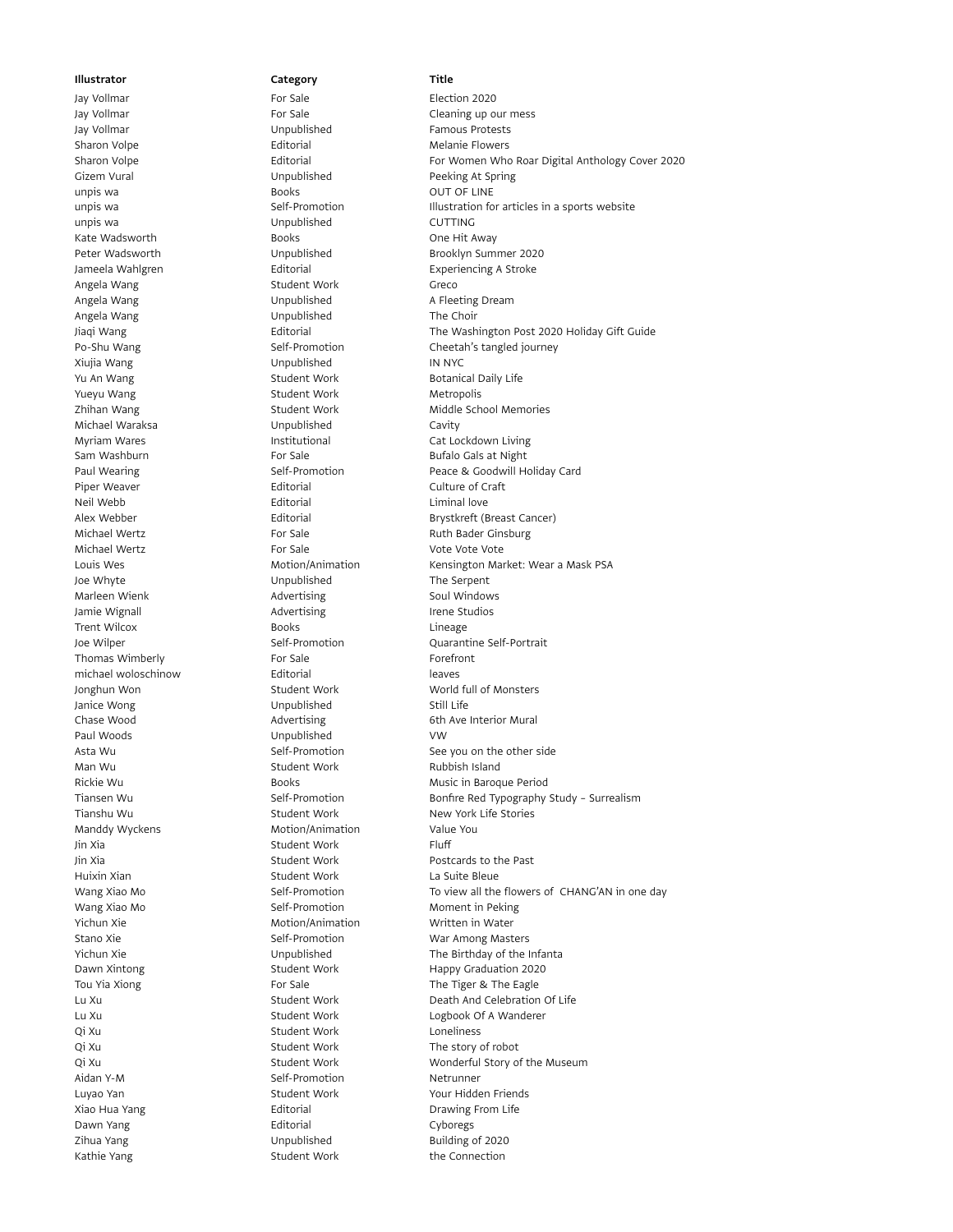Jay Vollmar For Sale Cleaning up our mess Jay Vollmar Unpublished Famous Protests Sharon Volpe **Editorial** Editorial Melanie Flowers Gizem Vural **Canadia Communism Constructs** Unpublished Peeking At Spring unpis wa **Books** Books **OUT OF LINE** unpis wa Unpublished CUTTING Kate Wadsworth **Books** Books **CONENSIS** Books **One Hit Away** Jameela Wahlgren **Editorial** Editorial Experiencing A Stroke Angela Wang Student Work Greco Angela Wang **A Fleeting Dream** Unpublished A Fleeting Dream Angela Wang **National Communist Communist Unpublished** The Choir Xiujia Wang Unpublished IN NYC Yu An Wang Student Work Botanical Daily Life Yueyu Wang **Music Communist Communist Communist Communist Communist Communist Communist Communist Communist Communist Communist Communist Communist Communist Communist Communist Communist Communist Communist Communist Comm** Michael Waraksa **Michael Waraksa** Unpublished Cavity Myriam Wares **Institutional** Cat Lockdown Living Sam Washburn **For Sale** For Sale **Bufalo Gals at Night** Piper Weaver **Editorial** Editorial Culture of Craft Neil Webb **Editorial** Editorial Communications Editorial Communications and Muslim Liminal love Michael Wertz **For Sale** For Sale Ruth Bader Ginsburg Michael Wertz **For Sale** For Sale Vote Vote Vote Vote Vote Joe Whyte Unpublished The Serpent Marleen Wienk **Advertising** Soul Windows Jamie Wignall **Advertising Irene Studios** Advertising Trent Wilcox **Channel Books** Books Lineage Lineage Lineage Controller Books Lineage Lineage Cuarant Thomas Wimberly **For Sale** For Sale **Forefront** michael woloschinow **Editorial** leaves Jonghun Won Student Work World full of Monsters Janice Wong **Still Life** Unpublished Still Life Chase Wood **Advertising** 6th Ave Interior Mural Paul Woods **VW** Unpublished VW Man Wu **Mundaird Note All Student Work Rubbish Island** Tianshu Wu **Student Work New York Life Stories** New York Life Stories Manddy Wyckens **Motion/Animation** Value You Jin Xia **Student Work** Fluff Jin Xia Student Work Postcards to the Past Huixin Xian **Student Work** La Suite Bleue Wang Xiao Mo **Self-Promotion** Self-Promotion Moment in Peking Yichun Xie **Motion/Animation** Written in Water Stano Xie **Self-Promotion** Self-Promotion War Among Masters Tou Yia Xiong The Tiger & The Eagle The Tiger & The Eagle Qi Xu **Student Work** Loneliness Qi Xu **Student Work** The story of robot Aidan Y-M Self-Promotion Netrunner Luyao Yan Student Work Theory Student Work Nour Hidden Friends Xiao Hua Yang **Editorial** Editorial **Editorial** Drawing From Life Dawn Yang **Editorial** Editorial Cyboregs Zihua Yang Unpublished Building of 2020

Jay Vollmar **For Sale** For Sale **Election 2020** Kathie Yang Student Work The Connection

# Sharon Volpe **Editorial** Editorial For Women Who Roar Digital Anthology Cover 2020 unpis wa Self-Promotion Illustration for articles in a sports website Peter Wadsworth **Channel Communist Unpublished** Brooklyn Summer 2020 Jiaqi Wang Editorial The Washington Post 2020 Holiday Gift Guide Po-Shu Wang **Self-Promotion** Self-Promotion Cheetah's tangled journey Zhihan Wang **Student Work** Middle School Memories Paul Wearing The Self-Promotion The Self-Promotion Peace & Goodwill Holiday Card Alex Webber Editorial Brystkreft (Breast Cancer) Louis Wes **Motion/Animation** Kensington Market: Wear a Mask PSA Joe Wilper Self-Promotion Cuarantine Self-Portrait Asta Wu Self-Promotion See you on the other side Rickie Wu **Books** Books Music in Baroque Period Tiansen Wu Self-Promotion Bonfire Red Typography Study – Surrealism Wang Xiao Mo Self-Promotion To view all the flowers of CHANG'AN in one day Yichun Xie Unpublished The Birthday of the Infanta Dawn Xintong **Student Work** Happy Graduation 2020 Lu Xu Student Work Death And Celebration Of Life Lu Xu Student Work Logbook Of A Wanderer Qi Xu Student Work Wonderful Story of the Museum Student Work Wonderful Story of the Museum